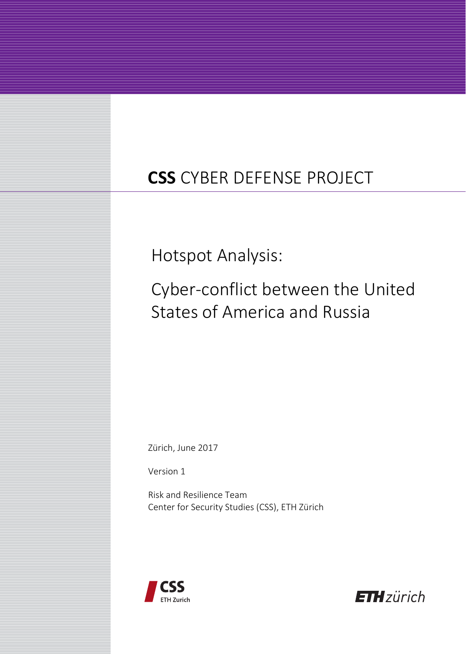# **CSS** CYBER DEFENSE PROJECT

Hotspot Analysis:

Cyber-conflict between the United States of America and Russia

Zürich, June 2017

Version 1

Risk and Resilience Team Center for Security Studies (CSS), ETH Zürich



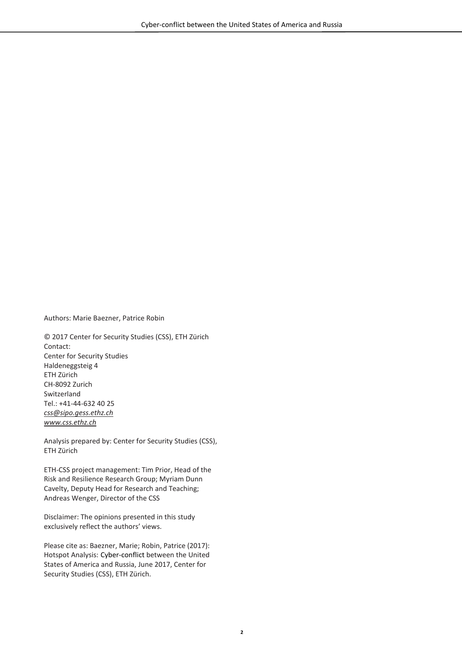Authors: Marie Baezner, Patrice Robin

© 2017 Center for Security Studies (CSS), ETH Zürich Contact: Center for Security Studies Haldeneggsteig 4 ETH Zürich CH-8092 Zurich Switzerland Tel.: +41-44-632 40 25 *css@sipo.gess.ethz.ch www.css.ethz.ch* 

Analysis prepared by: Center for Security Studies (CSS), ETH Zürich

ETH-CSS project management: Tim Prior, Head of the Risk and Resilience Research Group; Myriam Dunn Cavelty, Deputy Head for Research and Teaching; Andreas Wenger, Director of the CSS

Disclaimer: The opinions presented in this study exclusively reflect the authors' views.

Please cite as: Baezner, Marie; Robin, Patrice (2017): Hotspot Analysis: Cyber-conflict between the United States of America and Russia, June 2017, Center for Security Studies (CSS), ETH Zürich.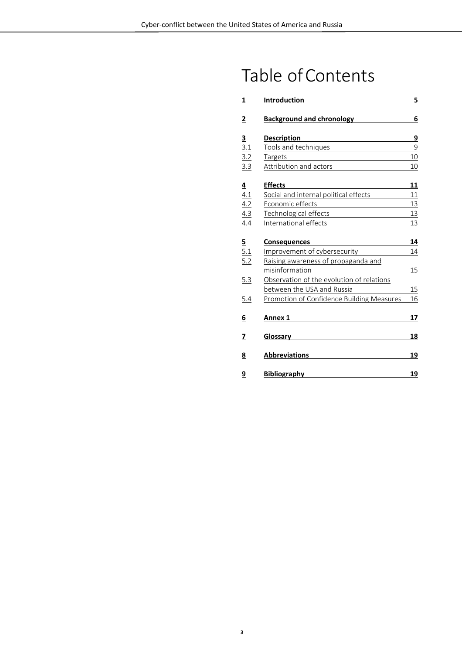# Table of Contents

| <u>1</u>        | Introduction                                                     | 5              |
|-----------------|------------------------------------------------------------------|----------------|
| <u>2</u>        | <b>Background and chronology</b>                                 | 6              |
|                 | <b>Description</b>                                               | 9              |
| $\frac{3}{3.1}$ | Tools and techniques                                             | $\overline{9}$ |
| 3.2             | Targets                                                          | 10             |
| 3.3             | <b>Attribution and actors</b>                                    | 10             |
| $\overline{4}$  | <b>Effects</b>                                                   | 11             |
| 4.1             | Social and internal political effects                            | 11             |
| 4.2             | Economic effects<br><u> 1989 - Andrea Andrew Maria (b. 1989)</u> | 13             |
| 4.3             | Technological effects                                            | 13             |
| 4.4             | International effects                                            | 13             |
|                 | <b>Consequences</b>                                              | 14             |
| <u>5</u><br>5.1 | Improvement of cybersecurity                                     | 14             |
| 5.2             | Raising awareness of propaganda and                              |                |
|                 | misinformation                                                   | 15             |
| 5.3             | Observation of the evolution of relations                        |                |
|                 | between the USA and Russia                                       | 15             |
| 5.4             | Promotion of Confidence Building Measures                        | 16             |
| 6               | Annex 1                                                          | 17             |
| 7               | Glossary                                                         | 18             |
| <u>8</u>        | <b>Abbreviations</b>                                             | 19             |
| <u>9</u>        | <b>Bibliography</b>                                              | 19             |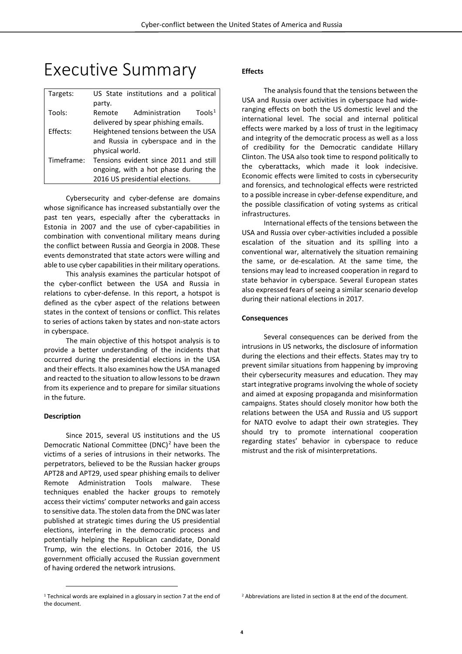## Executive Summary

| Targets:   | US State institutions and a political          |  |  |
|------------|------------------------------------------------|--|--|
|            | party.                                         |  |  |
| Tools:     | Tools <sup>1</sup><br>Administration<br>Remote |  |  |
|            | delivered by spear phishing emails.            |  |  |
| Effects:   | Heightened tensions between the USA            |  |  |
|            | and Russia in cyberspace and in the            |  |  |
|            | physical world.                                |  |  |
| Timeframe: | Tensions evident since 2011 and still          |  |  |
|            | ongoing, with a hot phase during the           |  |  |
|            | 2016 US presidential elections.                |  |  |

Cybersecurity and cyber-defense are domains whose significance has increased substantially over the past ten years, especially after the cyberattacks in Estonia in 2007 and the use of cyber-capabilities in combination with conventional military means during the conflict between Russia and Georgia in 2008. These events demonstrated that state actors were willing and able to use cyber capabilities in their military operations.

This analysis examines the particular hotspot of the cyber-conflict between the USA and Russia in relations to cyber-defense. In this report, a hotspot is defined as the cyber aspect of the relations between states in the context of tensions or conflict. This relates to series of actions taken by states and non-state actors in cyberspace.

The main objective of this hotspot analysis is to provide a better understanding of the incidents that occurred during the presidential elections in the USA and their effects. It also examines how the USA managed and reacted to the situation to allow lessons to be drawn from its experience and to prepare for similar situations in the future.

#### **Description**

 $\overline{a}$ 

Since 2015, several US institutions and the US Democratic National Committee (DNC)<sup>[2](#page-3-0)</sup> have been the victims of a series of intrusions in their networks. The perpetrators, believed to be the Russian hacker groups APT28 and APT29, used spear phishing emails to deliver Remote Administration Tools malware. These techniques enabled the hacker groups to remotely access their victims' computer networks and gain access to sensitive data. The stolen data from the DNC was later published at strategic times during the US presidential elections, interfering in the democratic process and potentially helping the Republican candidate, Donald Trump, win the elections. In October 2016, the US government officially accused the Russian government of having ordered the network intrusions.

#### **Effects**

The analysis found that the tensions between the USA and Russia over activities in cyberspace had wideranging effects on both the US domestic level and the international level. The social and internal political effects were marked by a loss of trust in the legitimacy and integrity of the democratic process as well as a loss of credibility for the Democratic candidate Hillary Clinton. The USA also took time to respond politically to the cyberattacks, which made it look indecisive. Economic effects were limited to costs in cybersecurity and forensics, and technological effects were restricted to a possible increase in cyber-defense expenditure, and the possible classification of voting systems as critical infrastructures.

International effects of the tensions between the USA and Russia over cyber-activities included a possible escalation of the situation and its spilling into a conventional war, alternatively the situation remaining the same, or de-escalation. At the same time, the tensions may lead to increased cooperation in regard to state behavior in cyberspace. Several European states also expressed fears of seeing a similar scenario develop during their national elections in 2017.

#### **Consequences**

Several consequences can be derived from the intrusions in US networks, the disclosure of information during the elections and their effects. States may try to prevent similar situations from happening by improving their cybersecurity measures and education. They may start integrative programs involving the whole of society and aimed at exposing propaganda and misinformation campaigns. States should closely monitor how both the relations between the USA and Russia and US support for NATO evolve to adapt their own strategies. They should try to promote international cooperation regarding states' behavior in cyberspace to reduce mistrust and the risk of misinterpretations.

<span id="page-3-0"></span><sup>1</sup> Technical words are explained in a glossary in section 7 at the end of the document.

<sup>2</sup> Abbreviations are listed in section 8 at the end of the document.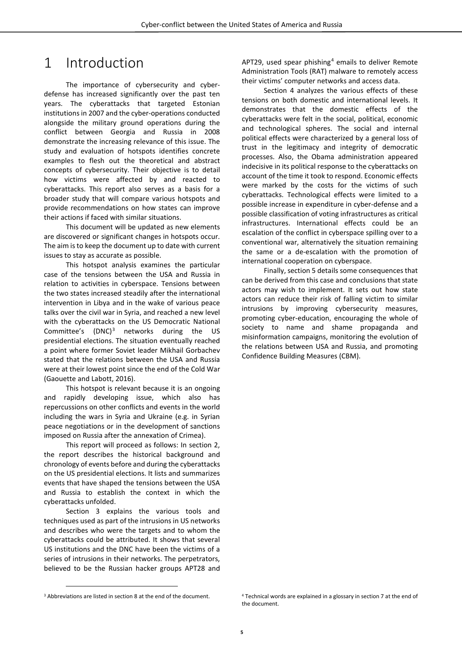### <span id="page-4-0"></span>1 Introduction

The importance of cybersecurity and cyberdefense has increased significantly over the past ten years. The cyberattacks that targeted Estonian institutions in 2007 and the cyber-operations conducted alongside the military ground operations during the conflict between Georgia and Russia in 2008 demonstrate the increasing relevance of this issue. The study and evaluation of hotspots identifies concrete examples to flesh out the theoretical and abstract concepts of cybersecurity. Their objective is to detail how victims were affected by and reacted to cyberattacks. This report also serves as a basis for a broader study that will compare various hotspots and provide recommendations on how states can improve their actions if faced with similar situations.

This document will be updated as new elements are discovered or significant changes in hotspots occur. The aim is to keep the document up to date with current issues to stay as accurate as possible.

This hotspot analysis examines the particular case of the tensions between the USA and Russia in relation to activities in cyberspace. Tensions between the two states increased steadily after the international intervention in Libya and in the wake of various peace talks over the civil war in Syria, and reached a new level with the cyberattacks on the US Democratic National Committee's  $(DNC)^3$  $(DNC)^3$  networks during the US presidential elections. The situation eventually reached a point where former Soviet leader Mikhail Gorbachev stated that the relations between the USA and Russia were at their lowest point since the end of the Cold War (Gaouette and Labott, 2016).

This hotspot is relevant because it is an ongoing and rapidly developing issue, which also has repercussions on other conflicts and events in the world including the wars in Syria and Ukraine (e.g. in Syrian peace negotiations or in the development of sanctions imposed on Russia after the annexation of Crimea).

This report will proceed as follows: In section 2, the report describes the historical background and chronology of events before and during the cyberattacks on the US presidential elections. It lists and summarizes events that have shaped the tensions between the USA and Russia to establish the context in which the cyberattacks unfolded.

Section 3 explains the various tools and techniques used as part of the intrusions in US networks and describes who were the targets and to whom the cyberattacks could be attributed. It shows that several US institutions and the DNC have been the victims of a series of intrusions in their networks. The perpetrators, believed to be the Russian hacker groups APT28 and

APT29, used spear phishing $4$  emails to deliver Remote Administration Tools (RAT) malware to remotely access their victims' computer networks and access data.

Section 4 analyzes the various effects of these tensions on both domestic and international levels. It demonstrates that the domestic effects of the cyberattacks were felt in the social, political, economic and technological spheres. The social and internal political effects were characterized by a general loss of trust in the legitimacy and integrity of democratic processes. Also, the Obama administration appeared indecisive in its political response to the cyberattacks on account of the time it took to respond. Economic effects were marked by the costs for the victims of such cyberattacks. Technological effects were limited to a possible increase in expenditure in cyber-defense and a possible classification of voting infrastructures as critical infrastructures. International effects could be an escalation of the conflict in cyberspace spilling over to a conventional war, alternatively the situation remaining the same or a de-escalation with the promotion of international cooperation on cyberspace.

Finally, section 5 details some consequences that can be derived from this case and conclusions that state actors may wish to implement. It sets out how state actors can reduce their risk of falling victim to similar intrusions by improving cybersecurity measures, promoting cyber-education, encouraging the whole of society to name and shame propaganda and misinformation campaigns, monitoring the evolution of the relations between USA and Russia, and promoting Confidence Building Measures (CBM).

 $\overline{a}$ 

<span id="page-4-1"></span><sup>3</sup> Abbreviations are listed in section 8 at the end of the document.

<sup>4</sup> Technical words are explained in a glossary in section 7 at the end of the document.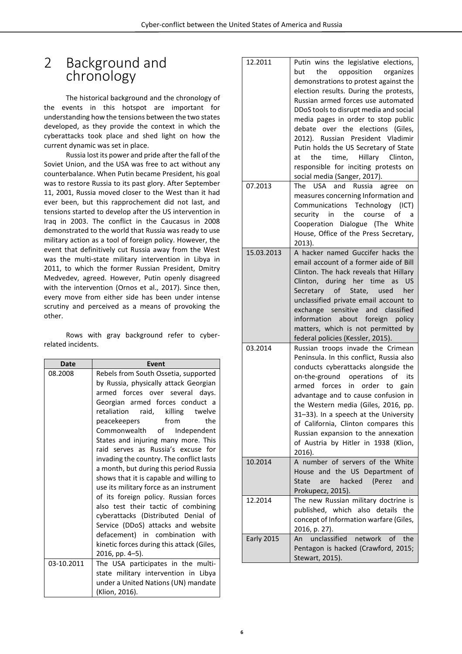### <span id="page-5-0"></span>2 Background and chronology

The historical background and the chronology of the events in this hotspot are important for understanding how the tensions between the two states developed, as they provide the context in which the cyberattacks took place and shed light on how the current dynamic was set in place.

Russia lost its power and pride after the fall of the Soviet Union, and the USA was free to act without any counterbalance. When Putin became President, his goal was to restore Russia to its past glory. After September 11, 2001, Russia moved closer to the West than it had ever been, but this rapprochement did not last, and tensions started to develop after the US intervention in Iraq in 2003. The conflict in the Caucasus in 2008 demonstrated to the world that Russia was ready to use military action as a tool of foreign policy. However, the event that definitively cut Russia away from the West was the multi-state military intervention in Libya in 2011, to which the former Russian President, Dmitry Medvedev, agreed. However, Putin openly disagreed with the intervention (Ornos et al., 2017). Since then, every move from either side has been under intense scrutiny and perceived as a means of provoking the other.

Rows with gray background refer to cyberrelated incidents.

| <b>Date</b> | Event                                                                                                                                                                                                                                                                                                                                                                                                                                                                                                                                                                                                                                                                                                                                                                             |
|-------------|-----------------------------------------------------------------------------------------------------------------------------------------------------------------------------------------------------------------------------------------------------------------------------------------------------------------------------------------------------------------------------------------------------------------------------------------------------------------------------------------------------------------------------------------------------------------------------------------------------------------------------------------------------------------------------------------------------------------------------------------------------------------------------------|
| 08.2008     | Rebels from South Ossetia, supported<br>by Russia, physically attack Georgian<br>armed forces over several days.<br>Georgian armed forces conduct a<br>raid, killing twelve<br>retaliation<br>from<br>peacekeepers<br>the<br>Commonwealth of Independent<br>States and injuring many more. This<br>raid serves as Russia's excuse for<br>invading the country. The conflict lasts<br>a month, but during this period Russia<br>shows that it is capable and willing to<br>use its military force as an instrument<br>of its foreign policy. Russian forces<br>also test their tactic of combining<br>cyberattacks (Distributed Denial of<br>Service (DDoS) attacks and website<br>defacement) in combination with<br>kinetic forces during this attack (Giles,<br>2016, pp. 4-5). |
| 03-10.2011  | The USA participates in the multi-<br>state military intervention in Libya<br>under a United Nations (UN) mandate<br>(Klion, 2016).                                                                                                                                                                                                                                                                                                                                                                                                                                                                                                                                                                                                                                               |

| 12.2011           | Putin wins the legislative elections,<br>but<br>the<br>opposition organizes<br>demonstrations to protest against the<br>election results. During the protests,<br>Russian armed forces use automated<br>DDoS tools to disrupt media and social<br>media pages in order to stop public<br>debate over the elections (Giles,<br>2012). Russian President Vladimir<br>Putin holds the US Secretary of State<br>Hillary Clinton,<br>the<br>time,<br>at<br>responsible for inciting protests on<br>social media (Sanger, 2017). |
|-------------------|----------------------------------------------------------------------------------------------------------------------------------------------------------------------------------------------------------------------------------------------------------------------------------------------------------------------------------------------------------------------------------------------------------------------------------------------------------------------------------------------------------------------------|
| 07.2013           | The USA and<br>Russia agree on<br>measures concerning Information and<br>Communications Technology (ICT)<br>security in the<br>course<br>of<br>a -<br>Cooperation Dialogue (The White<br>House, Office of the Press Secretary,<br>2013).                                                                                                                                                                                                                                                                                   |
| 15.03.2013        | A hacker named Guccifer hacks the<br>email account of a former aide of Bill<br>Clinton. The hack reveals that Hillary<br>Clinton, during her time as US<br>Secretary of State, used<br>her<br>unclassified private email account to<br>exchange sensitive and classified<br>information about foreign policy<br>matters, which is not permitted by<br>federal policies (Kessler, 2015).                                                                                                                                    |
| 03.2014           | Russian troops invade the Crimean<br>Peninsula. In this conflict, Russia also<br>conducts cyberattacks alongside the<br>on-the-ground operations<br>of<br>its<br>armed forces in order<br>gain<br>to<br>advantage and to cause confusion in<br>the Western media (Giles, 2016, pp.<br>31-33). In a speech at the University<br>of California, Clinton compares this<br>Russian expansion to the annexation<br>of Austria by Hitler in 1938 (Klion,<br>2016).                                                               |
| 10.2014           | A number of servers of the White<br>House and the US Department of<br>hacked<br>(Perez<br>State<br>are<br>and<br>Prokupecz, 2015).                                                                                                                                                                                                                                                                                                                                                                                         |
| 12.2014           | The new Russian military doctrine is<br>published, which also details the<br>concept of Information warfare (Giles,<br>2016, p. 27).                                                                                                                                                                                                                                                                                                                                                                                       |
| <b>Early 2015</b> | network<br>unclassified<br>of<br>the<br>An<br>Pentagon is hacked (Crawford, 2015;<br>Stewart, 2015).                                                                                                                                                                                                                                                                                                                                                                                                                       |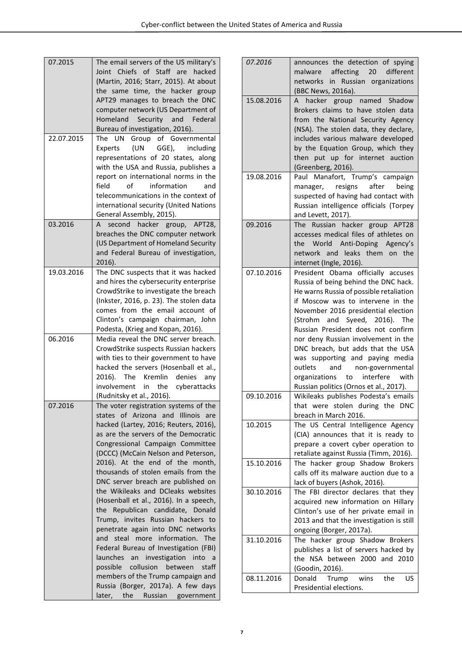| 07.2015    | The email servers of the US military's<br>Joint Chiefs of Staff are hacked<br>(Martin, 2016; Starr, 2015). At about<br>the same time, the hacker group                                                                                                                         | 07.2016    | announces the detection of spying<br>affecting<br>20<br>different<br>malware<br>networks in Russian organizations<br>(BBC News, 2016a).                                                                                                                                  |
|------------|--------------------------------------------------------------------------------------------------------------------------------------------------------------------------------------------------------------------------------------------------------------------------------|------------|--------------------------------------------------------------------------------------------------------------------------------------------------------------------------------------------------------------------------------------------------------------------------|
|            | APT29 manages to breach the DNC<br>computer network (US Department of<br>Homeland<br>Security and<br>Federal<br>Bureau of investigation, 2016).                                                                                                                                | 15.08.2016 | A hacker group named Shadow<br>Brokers claims to have stolen data<br>from the National Security Agency<br>(NSA). The stolen data, they declare,                                                                                                                          |
| 22.07.2015 | The UN Group of Governmental<br>(UN<br>GGE),<br>Experts<br>including<br>representations of 20 states, along<br>with the USA and Russia, publishes a                                                                                                                            |            | includes various malware developed<br>by the Equation Group, which they<br>then put up for internet auction<br>(Greenberg, 2016).                                                                                                                                        |
|            | report on international norms in the<br>οf<br>information<br>field<br>and<br>telecommunications in the context of<br>international security (United Nations<br>General Assembly, 2015).                                                                                        | 19.08.2016 | Paul Manafort, Trump's campaign<br>after<br>resigns<br>being<br>manager,<br>suspected of having had contact with<br>Russian intelligence officials (Torpey<br>and Levett, 2017).                                                                                         |
| 03.2016    | A second hacker group, APT28,<br>breaches the DNC computer network<br>(US Department of Homeland Security<br>and Federal Bureau of investigation,<br>$2016$ ).                                                                                                                 | 09.2016    | The Russian hacker group APT28<br>accesses medical files of athletes on<br>the World Anti-Doping Agency's<br>network and leaks them on the<br>internet (Ingle, 2016).                                                                                                    |
| 19.03.2016 | The DNC suspects that it was hacked<br>and hires the cybersecurity enterprise<br>CrowdStrike to investigate the breach<br>(Inkster, 2016, p. 23). The stolen data<br>comes from the email account of<br>Clinton's campaign chairman, John<br>Podesta, (Krieg and Kopan, 2016). | 07.10.2016 | President Obama officially accuses<br>Russia of being behind the DNC hack.<br>He warns Russia of possible retaliation<br>if Moscow was to intervene in the<br>November 2016 presidential election<br>(Strohm and Syeed, 2016). The<br>Russian President does not confirm |
| 06.2016    | Media reveal the DNC server breach.<br>CrowdStrike suspects Russian hackers<br>with ties to their government to have<br>hacked the servers (Hosenball et al.,<br>2016). The Kremlin denies any<br>involvement in the cyberattacks                                              |            | nor deny Russian involvement in the<br>DNC breach, but adds that the USA<br>was supporting and paying media<br>outlets<br>and<br>non-governmental<br>interfere<br>organizations<br>to<br>with<br>Russian politics (Ornos et al., 2017).                                  |
| 07.2016    | (Rudnitsky et al., 2016).<br>The voter registration systems of the<br>states of Arizona and Illinois are                                                                                                                                                                       | 09.10.2016 | Wikileaks publishes Podesta's emails<br>that were stolen during the DNC<br>breach in March 2016.                                                                                                                                                                         |
|            | hacked (Lartey, 2016; Reuters, 2016),<br>as are the servers of the Democratic<br>Congressional Campaign Committee<br>(DCCC) (McCain Nelson and Peterson,                                                                                                                       | 10.2015    | The US Central Intelligence Agency<br>(CIA) announces that it is ready to<br>prepare a covert cyber operation to<br>retaliate against Russia (Timm, 2016).                                                                                                               |
|            | 2016). At the end of the month,<br>thousands of stolen emails from the<br>DNC server breach are published on                                                                                                                                                                   | 15.10.2016 | The hacker group Shadow Brokers<br>calls off its malware auction due to a<br>lack of buyers (Ashok, 2016).                                                                                                                                                               |
|            | the Wikileaks and DCleaks websites<br>(Hosenball et al., 2016). In a speech,<br>the Republican candidate, Donald<br>Trump, invites Russian hackers to<br>penetrate again into DNC networks                                                                                     | 30.10.2016 | The FBI director declares that they<br>acquired new information on Hillary<br>Clinton's use of her private email in<br>2013 and that the investigation is still<br>ongoing (Borger, 2017a).                                                                              |
|            | and steal more information. The<br>Federal Bureau of Investigation (FBI)<br>launches an investigation into a<br>possible collusion between staff                                                                                                                               | 31.10.2016 | The hacker group Shadow Brokers<br>publishes a list of servers hacked by<br>the NSA between 2000 and 2010<br>(Goodin, 2016).                                                                                                                                             |
|            | members of the Trump campaign and<br>Russia (Borger, 2017a). A few days<br>Russian government<br>later,<br>the                                                                                                                                                                 | 08.11.2016 | Donald<br>Trump<br>wins<br><b>US</b><br>the<br>Presidential elections.                                                                                                                                                                                                   |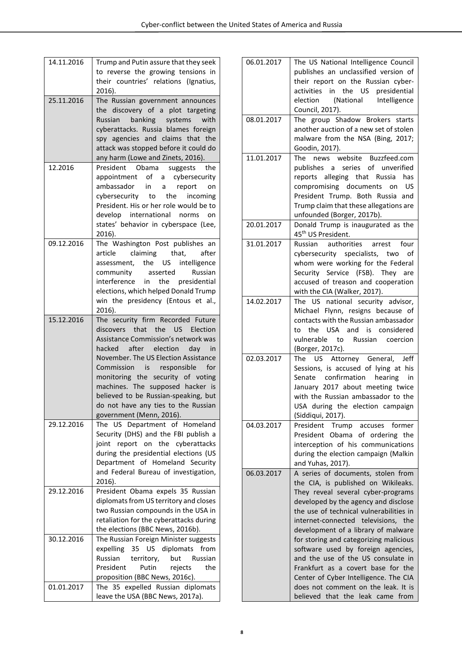| 14.11.2016 | Trump and Putin assure that they seek<br>to reverse the growing tensions in<br>their countries' relations (Ignatius,                                                                                                                                                                                                                                               |
|------------|--------------------------------------------------------------------------------------------------------------------------------------------------------------------------------------------------------------------------------------------------------------------------------------------------------------------------------------------------------------------|
|            | 2016).                                                                                                                                                                                                                                                                                                                                                             |
| 25.11.2016 | The Russian government announces<br>the discovery of a plot targeting<br>banking systems<br>Russian<br>with<br>cyberattacks. Russia blames foreign<br>spy agencies and claims that the<br>attack was stopped before it could do<br>any harm (Lowe and Zinets, 2016).                                                                                               |
| 12.2016    | President Obama<br>suggests<br>the                                                                                                                                                                                                                                                                                                                                 |
|            | appointment of a cybersecurity<br>ambassador in a<br>report<br>on<br>cybersecurity to the<br>incoming<br>President. His or her role would be to<br>develop international norms<br>on<br>states' behavior in cyberspace (Lee,<br>2016).                                                                                                                             |
| 09.12.2016 | The Washington Post publishes an                                                                                                                                                                                                                                                                                                                                   |
|            | claiming that,<br>article<br>after<br>assessment, the US intelligence<br>community asserted<br>Russian<br>interference in the presidential<br>elections, which helped Donald Trump<br>win the presidency (Entous et al.,<br>2016).                                                                                                                                 |
| 15.12.2016 | The security firm Recorded Future                                                                                                                                                                                                                                                                                                                                  |
|            | discovers that the US Election<br>Assistance Commission's network was<br>hacked after election day in<br>November. The US Election Assistance<br>Commission is responsible for<br>monitoring the security of voting<br>machines. The supposed hacker is<br>believed to be Russian-speaking, but<br>do not have any ties to the Russian<br>government (Menn, 2016). |
| 29.12.2016 | Department of Homeland<br>The<br>US I<br>Security (DHS) and the FBI publish a<br>report on the cyberattacks<br>joint<br>during the presidential elections (US<br>Department of Homeland Security<br>and Federal Bureau of investigation,                                                                                                                           |
| 29.12.2016 | 2016).                                                                                                                                                                                                                                                                                                                                                             |
|            | President Obama expels 35 Russian<br>diplomats from US territory and closes<br>two Russian compounds in the USA in<br>retaliation for the cyberattacks during<br>the elections (BBC News, 2016b).                                                                                                                                                                  |
| 30.12.2016 | The Russian Foreign Minister suggests<br>35 US diplomats from<br>expelling<br>Russian<br>territory,<br>but<br>Russian<br>President<br>Putin<br>the<br>rejects<br>proposition (BBC News, 2016c).                                                                                                                                                                    |
| 01.01.2017 | The 35 expelled Russian diplomats                                                                                                                                                                                                                                                                                                                                  |
|            | leave the USA (BBC News, 2017a).                                                                                                                                                                                                                                                                                                                                   |

| 06.01.2017 | The US National Intelligence Council<br>publishes an unclassified version of<br>their report on the Russian cyber-<br>activities in the US presidential<br>election<br>(National Intelligence<br>Council, 2017).                                                                                                                                                                                                                                                                                                                                                 |
|------------|------------------------------------------------------------------------------------------------------------------------------------------------------------------------------------------------------------------------------------------------------------------------------------------------------------------------------------------------------------------------------------------------------------------------------------------------------------------------------------------------------------------------------------------------------------------|
| 08.01.2017 | The group Shadow Brokers starts<br>another auction of a new set of stolen<br>malware from the NSA (Bing, 2017;<br>Goodin, 2017).                                                                                                                                                                                                                                                                                                                                                                                                                                 |
| 11.01.2017 | The news website Buzzfeed.com<br>publishes a series of unverified<br>reports alleging that Russia has<br>compromising documents on US<br>President Trump. Both Russia and<br>Trump claim that these allegations are<br>unfounded (Borger, 2017b).                                                                                                                                                                                                                                                                                                                |
| 20.01.2017 | Donald Trump is inaugurated as the<br>45 <sup>th</sup> US President.                                                                                                                                                                                                                                                                                                                                                                                                                                                                                             |
| 31.01.2017 | arrest four<br>Russian<br>authorities<br>cybersecurity specialists, two<br>οf<br>whom were working for the Federal<br>Security Service (FSB). They are<br>accused of treason and cooperation<br>with the CIA (Walker, 2017).                                                                                                                                                                                                                                                                                                                                     |
| 14.02.2017 | The US national security advisor,<br>Michael Flynn, resigns because of<br>contacts with the Russian ambassador<br>the USA and is considered<br>to<br>vulnerable to Russian coercion<br>(Borger, 2017c).                                                                                                                                                                                                                                                                                                                                                          |
| 02.03.2017 | US Attorney General, Jeff<br>The<br>Sessions, is accused of lying at his<br>Senate confirmation hearing<br>in<br>January 2017 about meeting twice<br>with the Russian ambassador to the<br>USA during the election campaign<br>(Siddiqui, 2017).                                                                                                                                                                                                                                                                                                                 |
| 04.03.2017 | former<br>accuses<br>President Trump<br>President<br>Obama of ordering the<br>interception of his communications<br>during the election campaign (Malkin<br>and Yuhas, 2017).                                                                                                                                                                                                                                                                                                                                                                                    |
| 06.03.2017 | A series of documents, stolen from<br>the CIA, is published on Wikileaks.<br>They reveal several cyber-programs<br>developed by the agency and disclose<br>the use of technical vulnerabilities in<br>internet-connected televisions, the<br>development of a library of malware<br>for storing and categorizing malicious<br>software used by foreign agencies,<br>and the use of the US consulate in<br>Frankfurt as a covert base for the<br>Center of Cyber Intelligence. The CIA<br>does not comment on the leak. It is<br>believed that the leak came from |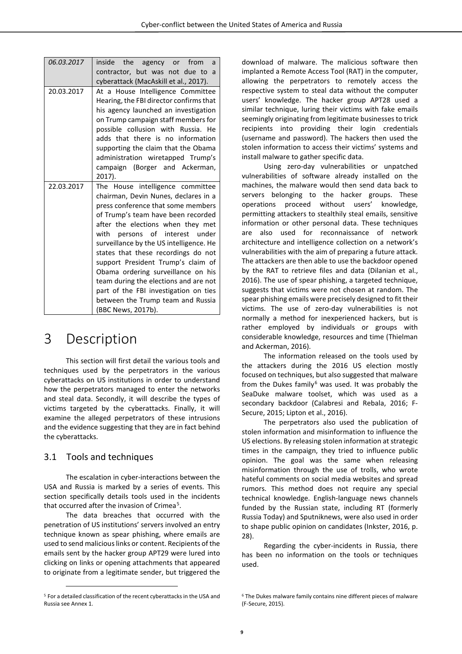| 06.03.2017 | inside the agency or from<br>a<br>contractor, but was not due to<br>a                                                                                                                                                                                                                                                                                                                                                                                                                                                                  |
|------------|----------------------------------------------------------------------------------------------------------------------------------------------------------------------------------------------------------------------------------------------------------------------------------------------------------------------------------------------------------------------------------------------------------------------------------------------------------------------------------------------------------------------------------------|
|            | cyberattack (MacAskill et al., 2017).                                                                                                                                                                                                                                                                                                                                                                                                                                                                                                  |
| 20.03.2017 | At a House Intelligence Committee<br>Hearing, the FBI director confirms that<br>his agency launched an investigation<br>on Trump campaign staff members for<br>possible collusion with Russia. He<br>adds that there is no information<br>supporting the claim that the Obama<br>administration wiretapped Trump's<br>campaign (Borger and Ackerman,<br>2017).                                                                                                                                                                         |
| 22.03.2017 | The House intelligence committee<br>chairman, Devin Nunes, declares in a<br>press conference that some members<br>of Trump's team have been recorded<br>after the elections when they met<br>with persons of interest under<br>surveillance by the US intelligence. He<br>states that these recordings do not<br>support President Trump's claim of<br>Obama ordering surveillance on his<br>team during the elections and are not<br>part of the FBI investigation on ties<br>between the Trump team and Russia<br>(BBC News, 2017b). |

### <span id="page-8-0"></span>3 Description

This section will first detail the various tools and techniques used by the perpetrators in the various cyberattacks on US institutions in order to understand how the perpetrators managed to enter the networks and steal data. Secondly, it will describe the types of victims targeted by the cyberattacks. Finally, it will examine the alleged perpetrators of these intrusions and the evidence suggesting that they are in fact behind the cyberattacks.

#### <span id="page-8-1"></span>3.1 Tools and techniques

 $\overline{a}$ 

The escalation in cyber-interactions between the USA and Russia is marked by a series of events. This section specifically details tools used in the incidents that occurred after the invasion of Crimea<sup>[5](#page-8-2)</sup>.

The data breaches that occurred with the penetration of US institutions' servers involved an entry technique known as spear phishing, where emails are used to send malicious links or content. Recipients of the emails sent by the hacker group APT29 were lured into clicking on links or opening attachments that appeared to originate from a legitimate sender, but triggered the

download of malware. The malicious software then implanted a Remote Access Tool (RAT) in the computer, allowing the perpetrators to remotely access the respective system to steal data without the computer users' knowledge. The hacker group APT28 used a similar technique, luring their victims with fake emails seemingly originating from legitimate businesses to trick recipients into providing their login credentials (username and password). The hackers then used the stolen information to access their victims' systems and install malware to gather specific data.

Using zero-day vulnerabilities or unpatched vulnerabilities of software already installed on the machines, the malware would then send data back to servers belonging to the hacker groups. These operations proceed without users' knowledge, permitting attackers to stealthily steal emails, sensitive information or other personal data. These techniques are also used for reconnaissance of network architecture and intelligence collection on a network's vulnerabilities with the aim of preparing a future attack. The attackers are then able to use the backdoor opened by the RAT to retrieve files and data (Dilanian et al., 2016). The use of spear phishing, a targeted technique, suggests that victims were not chosen at random. The spear phishing emails were precisely designed to fit their victims. The use of zero-day vulnerabilities is not normally a method for inexperienced hackers, but is rather employed by individuals or groups with considerable knowledge, resources and time (Thielman and Ackerman, 2016).

The information released on the tools used by the attackers during the 2016 US election mostly focused on techniques, but also suggested that malware from the Dukes family $6$  was used. It was probably the SeaDuke malware toolset, which was used as a secondary backdoor (Calabresi and Rebala, 2016; F-Secure, 2015; Lipton et al., 2016).

The perpetrators also used the publication of stolen information and misinformation to influence the US elections. By releasing stolen information at strategic times in the campaign, they tried to influence public opinion. The goal was the same when releasing misinformation through the use of trolls, who wrote hateful comments on social media websites and spread rumors. This method does not require any special technical knowledge. English-language news channels funded by the Russian state, including RT (formerly Russia Today) and Sputniknews, were also used in order to shape public opinion on candidates (Inkster, 2016, p. 28).

Regarding the cyber-incidents in Russia, there has been no information on the tools or techniques used.

<span id="page-8-2"></span><sup>&</sup>lt;sup>5</sup> For a detailed classification of the recent cyberattacks in the USA and Russia see Annex 1.

<sup>6</sup> The Dukes malware family contains nine different pieces of malware (F-Secure, 2015).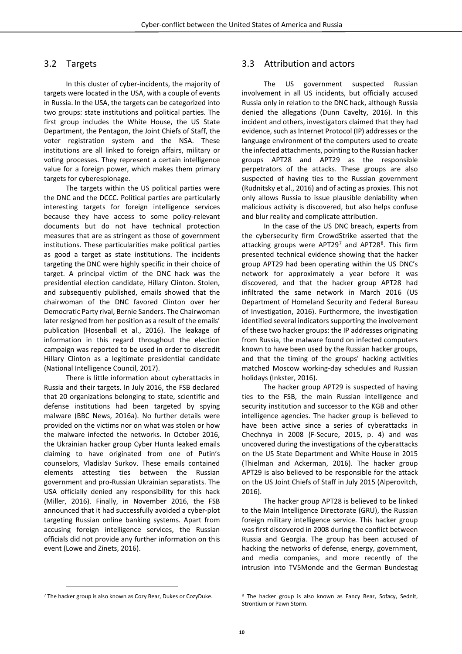#### <span id="page-9-0"></span>3.2 Targets

In this cluster of cyber-incidents, the majority of targets were located in the USA, with a couple of events in Russia. In the USA, the targets can be categorized into two groups: state institutions and political parties. The first group includes the White House, the US State Department, the Pentagon, the Joint Chiefs of Staff, the voter registration system and the NSA. These institutions are all linked to foreign affairs, military or voting processes. They represent a certain intelligence value for a foreign power, which makes them primary targets for cyberespionage.

The targets within the US political parties were the DNC and the DCCC. Political parties are particularly interesting targets for foreign intelligence services because they have access to some policy-relevant documents but do not have technical protection measures that are as stringent as those of government institutions. These particularities make political parties as good a target as state institutions. The incidents targeting the DNC were highly specific in their choice of target. A principal victim of the DNC hack was the presidential election candidate, Hillary Clinton. Stolen, and subsequently published, emails showed that the chairwoman of the DNC favored Clinton over her Democratic Party rival, Bernie Sanders. The Chairwoman later resigned from her position as a result of the emails' publication (Hosenball et al., 2016). The leakage of information in this regard throughout the election campaign was reported to be used in order to discredit Hillary Clinton as a legitimate presidential candidate (National Intelligence Council, 2017).

There is little information about cyberattacks in Russia and their targets. In July 2016, the FSB declared that 20 organizations belonging to state, scientific and defense institutions had been targeted by spying malware (BBC News, 2016a). No further details were provided on the victims nor on what was stolen or how the malware infected the networks. In October 2016, the Ukrainian hacker group Cyber Hunta leaked emails claiming to have originated from one of Putin's counselors, Vladislav Surkov. These emails contained elements attesting ties between the Russian government and pro-Russian Ukrainian separatists. The USA officially denied any responsibility for this hack (Miller, 2016). Finally, in November 2016, the FSB announced that it had successfully avoided a cyber-plot targeting Russian online banking systems. Apart from accusing foreign intelligence services, the Russian officials did not provide any further information on this event (Lowe and Zinets, 2016).

#### <span id="page-9-1"></span>3.3 Attribution and actors

The US government suspected Russian involvement in all US incidents, but officially accused Russia only in relation to the DNC hack, although Russia denied the allegations (Dunn Cavelty, 2016). In this incident and others, investigators claimed that they had evidence, such as Internet Protocol (IP) addresses or the language environment of the computers used to create the infected attachments, pointing to the Russian hacker groups APT28 and APT29 as the responsible perpetrators of the attacks. These groups are also suspected of having ties to the Russian government (Rudnitsky et al., 2016) and of acting as proxies. This not only allows Russia to issue plausible deniability when malicious activity is discovered, but also helps confuse and blur reality and complicate attribution.

In the case of the US DNC breach, experts from the cybersecurity firm CrowdStrike asserted that the attacking groups were  $APT29<sup>7</sup>$  $APT29<sup>7</sup>$  $APT29<sup>7</sup>$  and APT2[8](#page-9-2)<sup>8</sup>. This firm presented technical evidence showing that the hacker group APT29 had been operating within the US DNC's network for approximately a year before it was discovered, and that the hacker group APT28 had infiltrated the same network in March 2016 (US Department of Homeland Security and Federal Bureau of Investigation, 2016). Furthermore, the investigation identified several indicators supporting the involvement of these two hacker groups: the IP addresses originating from Russia, the malware found on infected computers known to have been used by the Russian hacker groups, and that the timing of the groups' hacking activities matched Moscow working-day schedules and Russian holidays (Inkster, 2016).

The hacker group APT29 is suspected of having ties to the FSB, the main Russian intelligence and security institution and successor to the KGB and other intelligence agencies. The hacker group is believed to have been active since a series of cyberattacks in Chechnya in 2008 (F-Secure, 2015, p. 4) and was uncovered during the investigations of the cyberattacks on the US State Department and White House in 2015 (Thielman and Ackerman, 2016). The hacker group APT29 is also believed to be responsible for the attack on the US Joint Chiefs of Staff in July 2015 (Alperovitch, 2016).

The hacker group APT28 is believed to be linked to the Main Intelligence Directorate (GRU), the Russian foreign military intelligence service. This hacker group was first discovered in 2008 during the conflict between Russia and Georgia. The group has been accused of hacking the networks of defense, energy, government, and media companies, and more recently of the intrusion into TV5Monde and the German Bundestag

 $\overline{a}$ 

<span id="page-9-2"></span><sup>7</sup> The hacker group is also known as Cozy Bear, Dukes or CozyDuke.

<sup>8</sup> The hacker group is also known as Fancy Bear, Sofacy, Sednit, Strontium or Pawn Storm.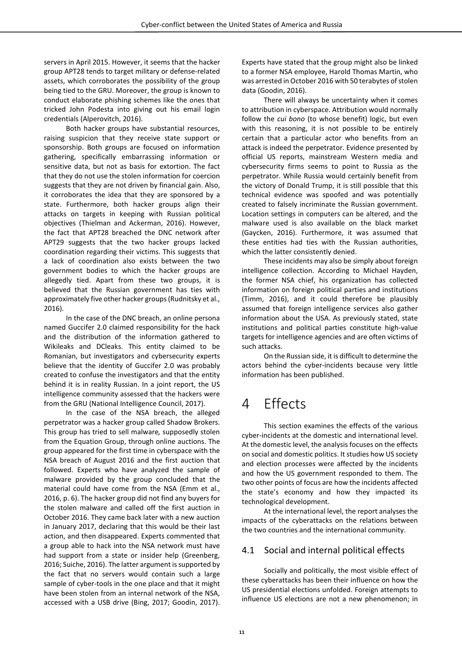servers in April 2015. However, it seems that the hacker group APT28 tends to target military or defense-related assets, which corroborates the possibility of the group being tied to the GRU. Moreover, the group is known to conduct elaborate phishing schemes like the ones that tricked John Podesta into giving out his email login credentials (Alperovitch, 2016).

Both hacker groups have substantial resources, raising suspicion that they receive state support or sponsorship. Both groups are focused on information gathering, specifically embarrassing information or sensitive data, but not as basis for extortion. The fact that they do not use the stolen information for coercion suggests that they are not driven by financial gain. Also, it corroborates the idea that they are sponsored by a state. Furthermore, both hacker groups align their attacks on targets in keeping with Russian political objectives (Thielman and Ackerman, 2016). However, the fact that APT28 breached the DNC network after APT29 suggests that the two hacker groups lacked coordination regarding their victims. This suggests that a lack of coordination also exists between the two government bodies to which the hacker groups are allegedly tied. Apart from these two groups, it is believed that the Russian government has ties with approximately five other hacker groups (Rudnitsky et al., 2016).

In the case of the DNC breach, an online persona named Guccifer 2.0 claimed responsibility for the hack and the distribution of the information gathered to Wikileaks and DCleaks. This entity claimed to be Romanian, but investigators and cybersecurity experts believe that the identity of Guccifer 2.0 was probably created to confuse the investigators and that the entity behind it is in reality Russian. In a joint report, the US intelligence community assessed that the hackers were from the GRU (National Intelligence Council, 2017).

In the case of the NSA breach, the alleged perpetrator was a hacker group called Shadow Brokers. This group has tried to sell malware*,* supposedly stolen from the Equation Group, through online auctions. The group appeared for the first time in cyberspace with the NSA breach of August 2016 and the first auction that followed. Experts who have analyzed the sample of malware provided by the group concluded that the material could have come from the NSA (Emm et al., 2016, p. 6). The hacker group did not find any buyers for the stolen malware and called off the first auction in October 2016. They came back later with a new auction in January 2017, declaring that this would be their last action, and then disappeared. Experts commented that a group able to hack into the NSA network must have had support from a state or insider help (Greenberg, 2016; Suiche, 2016). The latter argument is supported by the fact that no servers would contain such a large sample of cyber-tools in the one place and that it might have been stolen from an internal network of the NSA, accessed with a USB drive (Bing, 2017; Goodin, 2017).

Experts have stated that the group might also be linked to a former NSA employee, Harold Thomas Martin, who was arrested in October 2016 with 50 terabytes of stolen data (Goodin, 2016).

There will always be uncertainty when it comes to attribution in cyberspace. Attribution would normally follow the *cui bono* (to whose benefit) logic, but even with this reasoning, it is not possible to be entirely certain that a particular actor who benefits from an attack is indeed the perpetrator. Evidence presented by official US reports, mainstream Western media and cybersecurity firms seems to point to Russia as the perpetrator. While Russia would certainly benefit from the victory of Donald Trump, it is still possible that this technical evidence was spoofed and was potentially created to falsely incriminate the Russian government. Location settings in computers can be altered, and the malware used is also available on the black market (Gaycken, 2016). Furthermore, it was assumed that these entities had ties with the Russian authorities, which the latter consistently denied.

These incidents may also be simply about foreign intelligence collection. According to Michael Hayden, the former NSA chief, his organization has collected information on foreign political parties and institutions (Timm, 2016), and it could therefore be plausibly assumed that foreign intelligence services also gather information about the USA. As previously stated, state institutions and political parties constitute high-value targets for intelligence agencies and are often victims of such attacks.

On the Russian side, it is difficult to determine the actors behind the cyber-incidents because very little information has been published.

## <span id="page-10-0"></span>4 Effects

This section examines the effects of the various cyber-incidents at the domestic and international level. At the domestic level, the analysis focuses on the effects on social and domestic politics. It studies how US society and election processes were affected by the incidents and how the US government responded to them. The two other points of focus are how the incidents affected the state's economy and how they impacted its technological development.

At the international level, the report analyses the impacts of the cyberattacks on the relations between the two countries and the international community.

#### <span id="page-10-1"></span>4.1 Social and internal political effects

Socially and politically, the most visible effect of these cyberattacks has been their influence on how the US presidential elections unfolded. Foreign attempts to influence US elections are not a new phenomenon; in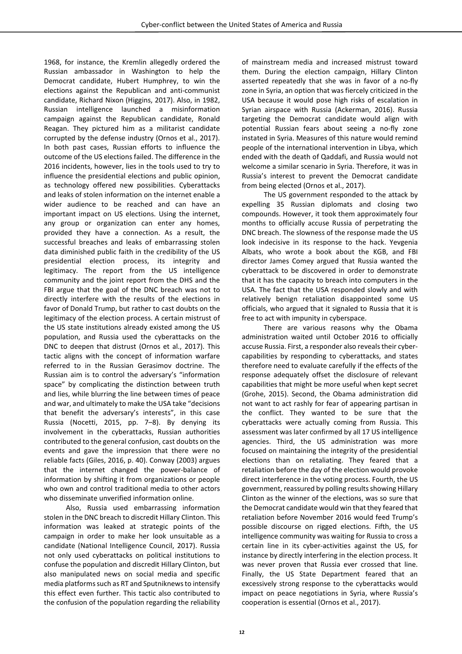1968, for instance, the Kremlin allegedly ordered the Russian ambassador in Washington to help the Democrat candidate, Hubert Humphrey, to win the elections against the Republican and anti-communist candidate, Richard Nixon (Higgins, 2017). Also, in 1982, Russian intelligence launched a misinformation campaign against the Republican candidate, Ronald Reagan. They pictured him as a militarist candidate corrupted by the defense industry (Ornos et al., 2017). In both past cases, Russian efforts to influence the outcome of the US elections failed. The difference in the 2016 incidents, however, lies in the tools used to try to influence the presidential elections and public opinion, as technology offered new possibilities. Cyberattacks and leaks of stolen information on the internet enable a wider audience to be reached and can have an important impact on US elections. Using the internet, any group or organization can enter any homes, provided they have a connection. As a result, the successful breaches and leaks of embarrassing stolen data diminished public faith in the credibility of the US presidential election process, its integrity and legitimacy. The report from the US intelligence community and the joint report from the DHS and the FBI argue that the goal of the DNC breach was not to directly interfere with the results of the elections in favor of Donald Trump, but rather to cast doubts on the legitimacy of the election process. A certain mistrust of the US state institutions already existed among the US population, and Russia used the cyberattacks on the DNC to deepen that distrust (Ornos et al., 2017). This tactic aligns with the concept of information warfare referred to in the Russian Gerasimov doctrine. The Russian aim is to control the adversary's "information space" by complicating the distinction between truth and lies, while blurring the line between times of peace and war, and ultimately to make the USA take "decisions that benefit the adversary's interests", in this case Russia (Nocetti, 2015, pp. 7–8). By denying its involvement in the cyberattacks, Russian authorities contributed to the general confusion, cast doubts on the events and gave the impression that there were no reliable facts (Giles, 2016, p. 40). Conway (2003) argues that the internet changed the power-balance of information by shifting it from organizations or people who own and control traditional media to other actors who disseminate unverified information online.

Also, Russia used embarrassing information stolen in the DNC breach to discredit Hillary Clinton. This information was leaked at strategic points of the campaign in order to make her look unsuitable as a candidate (National Intelligence Council, 2017). Russia not only used cyberattacks on political institutions to confuse the population and discredit Hillary Clinton, but also manipulated news on social media and specific media platforms such as RT and Sputniknews to intensify this effect even further. This tactic also contributed to the confusion of the population regarding the reliability of mainstream media and increased mistrust toward them. During the election campaign, Hillary Clinton asserted repeatedly that she was in favor of a no-fly zone in Syria, an option that was fiercely criticized in the USA because it would pose high risks of escalation in Syrian airspace with Russia (Ackerman, 2016). Russia targeting the Democrat candidate would align with potential Russian fears about seeing a no-fly zone instated in Syria. Measures of this nature would remind people of the international intervention in Libya, which ended with the death of Qaddafi, and Russia would not welcome a similar scenario in Syria. Therefore, it was in Russia's interest to prevent the Democrat candidate from being elected (Ornos et al., 2017).

The US government responded to the attack by expelling 35 Russian diplomats and closing two compounds. However, it took them approximately four months to officially accuse Russia of perpetrating the DNC breach. The slowness of the response made the US look indecisive in its response to the hack. Yevgenia Albats, who wrote a book about the KGB, and FBI director James Comey argued that Russia wanted the cyberattack to be discovered in order to demonstrate that it has the capacity to breach into computers in the USA. The fact that the USA responded slowly and with relatively benign retaliation disappointed some US officials, who argued that it signaled to Russia that it is free to act with impunity in cyberspace.

There are various reasons why the Obama administration waited until October 2016 to officially accuse Russia. First, a responder also reveals their cybercapabilities by responding to cyberattacks, and states therefore need to evaluate carefully if the effects of the response adequately offset the disclosure of relevant capabilities that might be more useful when kept secret (Grohe, 2015). Second, the Obama administration did not want to act rashly for fear of appearing partisan in the conflict. They wanted to be sure that the cyberattacks were actually coming from Russia. This assessment was later confirmed by all 17 US intelligence agencies. Third, the US administration was more focused on maintaining the integrity of the presidential elections than on retaliating. They feared that a retaliation before the day of the election would provoke direct interference in the voting process. Fourth, the US government, reassured by polling results showing Hillary Clinton as the winner of the elections, was so sure that the Democrat candidate would win that they feared that retaliation before November 2016 would feed Trump's possible discourse on rigged elections. Fifth, the US intelligence community was waiting for Russia to cross a certain line in its cyber-activities against the US, for instance by directly interfering in the election process. It was never proven that Russia ever crossed that line. Finally, the US State Department feared that an excessively strong response to the cyberattacks would impact on peace negotiations in Syria, where Russia's cooperation is essential (Ornos et al., 2017).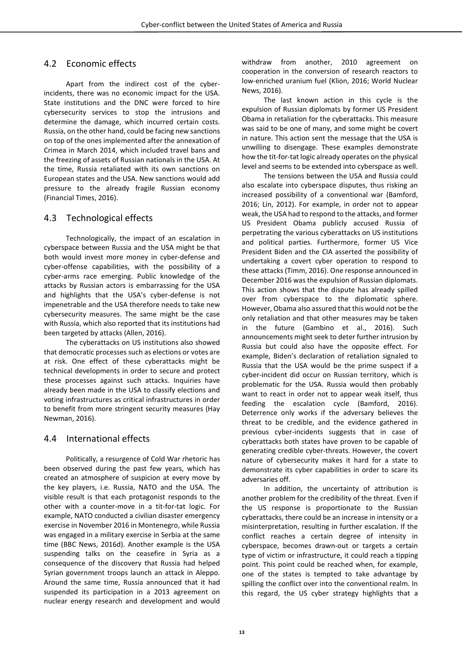#### <span id="page-12-0"></span>4.2 Economic effects

Apart from the indirect cost of the cyberincidents, there was no economic impact for the USA. State institutions and the DNC were forced to hire cybersecurity services to stop the intrusions and determine the damage, which incurred certain costs. Russia, on the other hand, could be facing new sanctions on top of the ones implemented after the annexation of Crimea in March 2014, which included travel bans and the freezing of assets of Russian nationals in the USA. At the time, Russia retaliated with its own sanctions on European states and the USA. New sanctions would add pressure to the already fragile Russian economy (Financial Times, 2016).

#### <span id="page-12-1"></span>4.3 Technological effects

Technologically, the impact of an escalation in cyberspace between Russia and the USA might be that both would invest more money in cyber-defense and cyber-offense capabilities, with the possibility of a cyber-arms race emerging. Public knowledge of the attacks by Russian actors is embarrassing for the USA and highlights that the USA's cyber-defense is not impenetrable and the USA therefore needs to take new cybersecurity measures. The same might be the case with Russia, which also reported that its institutions had been targeted by attacks (Allen, 2016).

The cyberattacks on US institutions also showed that democratic processes such as elections or votes are at risk. One effect of these cyberattacks might be technical developments in order to secure and protect these processes against such attacks. Inquiries have already been made in the USA to classify elections and voting infrastructures as critical infrastructures in order to benefit from more stringent security measures (Hay Newman, 2016).

#### <span id="page-12-2"></span>4.4 International effects

Politically, a resurgence of Cold War rhetoric has been observed during the past few years, which has created an atmosphere of suspicion at every move by the key players, i.e. Russia, NATO and the USA. The visible result is that each protagonist responds to the other with a counter-move in a tit-for-tat logic. For example, NATO conducted a civilian disaster emergency exercise in November 2016 in Montenegro, while Russia was engaged in a military exercise in Serbia at the same time (BBC News, 2016d). Another example is the USA suspending talks on the ceasefire in Syria as a consequence of the discovery that Russia had helped Syrian government troops launch an attack in Aleppo. Around the same time, Russia announced that it had suspended its participation in a 2013 agreement on nuclear energy research and development and would withdraw from another, 2010 agreement on cooperation in the conversion of research reactors to low-enriched uranium fuel (Klion, 2016; World Nuclear News, 2016).

The last known action in this cycle is the expulsion of Russian diplomats by former US President Obama in retaliation for the cyberattacks. This measure was said to be one of many, and some might be covert in nature. This action sent the message that the USA is unwilling to disengage. These examples demonstrate how the tit-for-tat logic already operates on the physical level and seems to be extended into cyberspace as well.

The tensions between the USA and Russia could also escalate into cyberspace disputes, thus risking an increased possibility of a conventional war (Bamford, 2016; Lin, 2012). For example, in order not to appear weak, the USA had to respond to the attacks, and former US President Obama publicly accused Russia of perpetrating the various cyberattacks on US institutions and political parties. Furthermore, former US Vice President Biden and the CIA asserted the possibility of undertaking a covert cyber operation to respond to these attacks (Timm, 2016). One response announced in December 2016 was the expulsion of Russian diplomats. This action shows that the dispute has already spilled over from cyberspace to the diplomatic sphere. However, Obama also assured that this would not be the only retaliation and that other measures may be taken in the future (Gambino et al., 2016). Such announcements might seek to deter further intrusion by Russia but could also have the opposite effect. For example, Biden's declaration of retaliation signaled to Russia that the USA would be the prime suspect if a cyber-incident did occur on Russian territory, which is problematic for the USA. Russia would then probably want to react in order not to appear weak itself, thus feeding the escalation cycle (Bamford, 2016). Deterrence only works if the adversary believes the threat to be credible, and the evidence gathered in previous cyber-incidents suggests that in case of cyberattacks both states have proven to be capable of generating credible cyber-threats. However, the covert nature of cybersecurity makes it hard for a state to demonstrate its cyber capabilities in order to scare its adversaries off.

In addition, the uncertainty of attribution is another problem for the credibility of the threat. Even if the US response is proportionate to the Russian cyberattacks, there could be an increase in intensity or a misinterpretation, resulting in further escalation. If the conflict reaches a certain degree of intensity in cyberspace, becomes drawn-out or targets a certain type of victim or infrastructure, it could reach a tipping point. This point could be reached when, for example, one of the states is tempted to take advantage by spilling the conflict over into the conventional realm. In this regard, the US cyber strategy highlights that a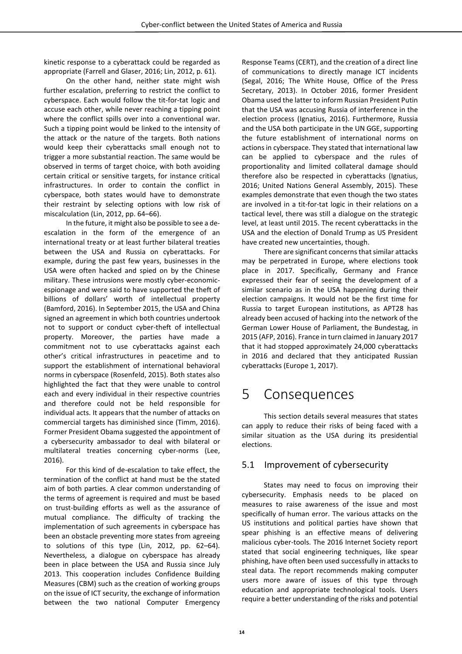kinetic response to a cyberattack could be regarded as appropriate (Farrell and Glaser, 2016; Lin, 2012, p. 61).

On the other hand, neither state might wish further escalation, preferring to restrict the conflict to cyberspace. Each would follow the tit-for-tat logic and accuse each other, while never reaching a tipping point where the conflict spills over into a conventional war. Such a tipping point would be linked to the intensity of the attack or the nature of the targets. Both nations would keep their cyberattacks small enough not to trigger a more substantial reaction. The same would be observed in terms of target choice, with both avoiding certain critical or sensitive targets, for instance critical infrastructures. In order to contain the conflict in cyberspace, both states would have to demonstrate their restraint by selecting options with low risk of miscalculation (Lin, 2012, pp. 64–66).

In the future, it might also be possible to see a deescalation in the form of the emergence of an international treaty or at least further bilateral treaties between the USA and Russia on cyberattacks. For example, during the past few years, businesses in the USA were often hacked and spied on by the Chinese military. These intrusions were mostly cyber-economicespionage and were said to have supported the theft of billions of dollars' worth of intellectual property (Bamford, 2016). In September 2015, the USA and China signed an agreement in which both countries undertook not to support or conduct cyber-theft of intellectual property. Moreover, the parties have made a commitment not to use cyberattacks against each other's critical infrastructures in peacetime and to support the establishment of international behavioral norms in cyberspace (Rosenfeld, 2015). Both states also highlighted the fact that they were unable to control each and every individual in their respective countries and therefore could not be held responsible for individual acts. It appears that the number of attacks on commercial targets has diminished since (Timm, 2016). Former President Obama suggested the appointment of a cybersecurity ambassador to deal with bilateral or multilateral treaties concerning cyber-norms (Lee, 2016).

For this kind of de-escalation to take effect, the termination of the conflict at hand must be the stated aim of both parties. A clear common understanding of the terms of agreement is required and must be based on trust-building efforts as well as the assurance of mutual compliance. The difficulty of tracking the implementation of such agreements in cyberspace has been an obstacle preventing more states from agreeing to solutions of this type (Lin, 2012, pp. 62–64). Nevertheless, a dialogue on cyberspace has already been in place between the USA and Russia since July 2013. This cooperation includes Confidence Building Measures (CBM) such as the creation of working groups on the issue of ICT security, the exchange of information between the two national Computer Emergency

Response Teams (CERT), and the creation of a direct line of communications to directly manage ICT incidents (Segal, 2016; The White House, Office of the Press Secretary, 2013). In October 2016, former President Obama used the latter to inform Russian President Putin that the USA was accusing Russia of interference in the election process (Ignatius, 2016). Furthermore, Russia and the USA both participate in the UN GGE, supporting the future establishment of international norms on actions in cyberspace. They stated that international law can be applied to cyberspace and the rules of proportionality and limited collateral damage should therefore also be respected in cyberattacks (Ignatius, 2016; United Nations General Assembly, 2015). These examples demonstrate that even though the two states are involved in a tit-for-tat logic in their relations on a tactical level, there was still a dialogue on the strategic level, at least until 2015. The recent cyberattacks in the USA and the election of Donald Trump as US President have created new uncertainties, though.

There are significant concerns that similar attacks may be perpetrated in Europe, where elections took place in 2017. Specifically, Germany and France expressed their fear of seeing the development of a similar scenario as in the USA happening during their election campaigns. It would not be the first time for Russia to target European institutions, as APT28 has already been accused of hacking into the network of the German Lower House of Parliament, the Bundestag, in 2015 (AFP, 2016). France in turn claimed in January 2017 that it had stopped approximately 24,000 cyberattacks in 2016 and declared that they anticipated Russian cyberattacks (Europe 1, 2017).

### <span id="page-13-0"></span>5 Consequences

This section details several measures that states can apply to reduce their risks of being faced with a similar situation as the USA during its presidential elections.

#### <span id="page-13-1"></span>5.1 Improvement of cybersecurity

States may need to focus on improving their cybersecurity. Emphasis needs to be placed on measures to raise awareness of the issue and most specifically of human error. The various attacks on the US institutions and political parties have shown that spear phishing is an effective means of delivering malicious cyber-tools. The 2016 Internet Society report stated that social engineering techniques, like spear phishing, have often been used successfully in attacks to steal data. The report recommends making computer users more aware of issues of this type through education and appropriate technological tools. Users require a better understanding of the risks and potential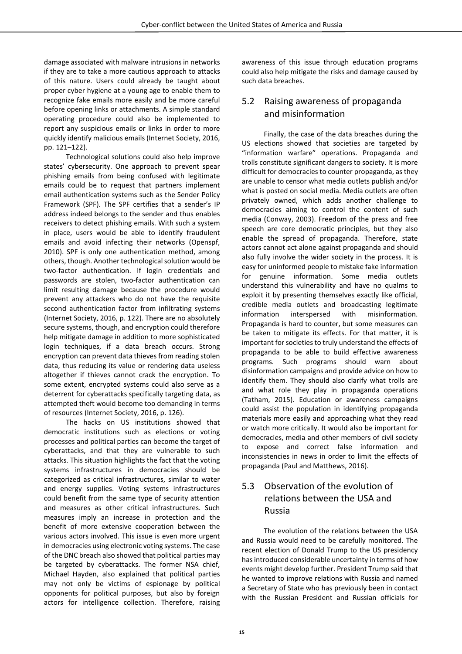damage associated with malware intrusions in networks if they are to take a more cautious approach to attacks of this nature. Users could already be taught about proper cyber hygiene at a young age to enable them to recognize fake emails more easily and be more careful before opening links or attachments. A simple standard operating procedure could also be implemented to report any suspicious emails or links in order to more quickly identify malicious emails (Internet Society, 2016, pp. 121–122).

Technological solutions could also help improve states' cybersecurity. One approach to prevent spear phishing emails from being confused with legitimate emails could be to request that partners implement email authentication systems such as the Sender Policy Framework (SPF). The SPF certifies that a sender's IP address indeed belongs to the sender and thus enables receivers to detect phishing emails. With such a system in place, users would be able to identify fraudulent emails and avoid infecting their networks (Openspf, 2010). SPF is only one authentication method, among others, though. Another technological solution would be two-factor authentication. If login credentials and passwords are stolen, two-factor authentication can limit resulting damage because the procedure would prevent any attackers who do not have the requisite second authentication factor from infiltrating systems (Internet Society, 2016, p. 122). There are no absolutely secure systems, though, and encryption could therefore help mitigate damage in addition to more sophisticated login techniques, if a data breach occurs. Strong encryption can prevent data thieves from reading stolen data, thus reducing its value or rendering data useless altogether if thieves cannot crack the encryption. To some extent, encrypted systems could also serve as a deterrent for cyberattacks specifically targeting data, as attempted theft would become too demanding in terms of resources (Internet Society, 2016, p. 126).

The hacks on US institutions showed that democratic institutions such as elections or voting processes and political parties can become the target of cyberattacks, and that they are vulnerable to such attacks. This situation highlights the fact that the voting systems infrastructures in democracies should be categorized as critical infrastructures, similar to water and energy supplies. Voting systems infrastructures could benefit from the same type of security attention and measures as other critical infrastructures. Such measures imply an increase in protection and the benefit of more extensive cooperation between the various actors involved. This issue is even more urgent in democracies using electronic voting systems. The case of the DNC breach also showed that political parties may be targeted by cyberattacks. The former NSA chief, Michael Hayden, also explained that political parties may not only be victims of espionage by political opponents for political purposes, but also by foreign actors for intelligence collection. Therefore, raising

awareness of this issue through education programs could also help mitigate the risks and damage caused by such data breaches.

#### <span id="page-14-0"></span>5.2 Raising awareness of propaganda and misinformation

Finally, the case of the data breaches during the US elections showed that societies are targeted by "information warfare" operations. Propaganda and trolls constitute significant dangers to society. It is more difficult for democracies to counter propaganda, as they are unable to censor what media outlets publish and/or what is posted on social media. Media outlets are often privately owned, which adds another challenge to democracies aiming to control the content of such media (Conway, 2003). Freedom of the press and free speech are core democratic principles, but they also enable the spread of propaganda. Therefore, state actors cannot act alone against propaganda and should also fully involve the wider society in the process. It is easy for uninformed people to mistake fake information for genuine information. Some media outlets understand this vulnerability and have no qualms to exploit it by presenting themselves exactly like official, credible media outlets and broadcasting legitimate information interspersed with misinformation. Propaganda is hard to counter, but some measures can be taken to mitigate its effects. For that matter, it is important for societies to truly understand the effects of propaganda to be able to build effective awareness programs. Such programs should warn about disinformation campaigns and provide advice on how to identify them. They should also clarify what trolls are and what role they play in propaganda operations (Tatham, 2015). Education or awareness campaigns could assist the population in identifying propaganda materials more easily and approaching what they read or watch more critically. It would also be important for democracies, media and other members of civil society to expose and correct false information and inconsistencies in news in order to limit the effects of propaganda (Paul and Matthews, 2016).

#### <span id="page-14-1"></span>5.3 Observation of the evolution of relations between the USA and Russia

The evolution of the relations between the USA and Russia would need to be carefully monitored. The recent election of Donald Trump to the US presidency has introduced considerable uncertainty in terms of how events might develop further. President Trump said that he wanted to improve relations with Russia and named a Secretary of State who has previously been in contact with the Russian President and Russian officials for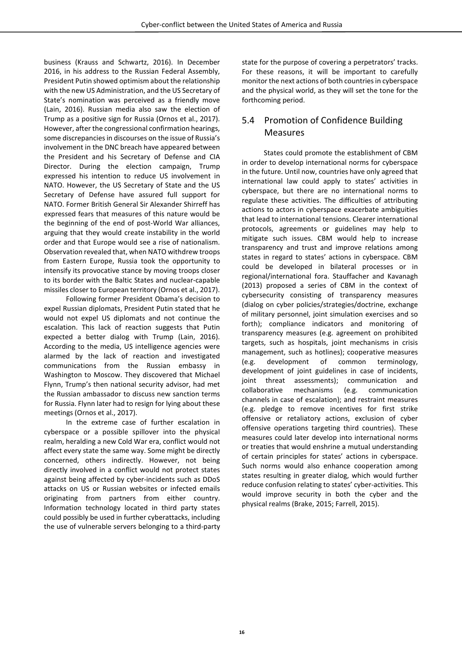business (Krauss and Schwartz, 2016). In December 2016, in his address to the Russian Federal Assembly, President Putin showed optimism about the relationship with the new US Administration, and the US Secretary of State's nomination was perceived as a friendly move (Lain, 2016). Russian media also saw the election of Trump as a positive sign for Russia (Ornos et al., 2017). However, after the congressional confirmation hearings, some discrepancies in discourses on the issue of Russia's involvement in the DNC breach have appeared between the President and his Secretary of Defense and CIA Director. During the election campaign, Trump expressed his intention to reduce US involvement in NATO. However, the US Secretary of State and the US Secretary of Defense have assured full support for NATO. Former British General Sir Alexander Shirreff has expressed fears that measures of this nature would be the beginning of the end of post-World War alliances, arguing that they would create instability in the world order and that Europe would see a rise of nationalism. Observation revealed that, when NATO withdrew troops from Eastern Europe, Russia took the opportunity to intensify its provocative stance by moving troops closer to its border with the Baltic States and nuclear-capable missiles closer to European territory (Ornos et al., 2017).

Following former President Obama's decision to expel Russian diplomats, President Putin stated that he would not expel US diplomats and not continue the escalation. This lack of reaction suggests that Putin expected a better dialog with Trump (Lain, 2016). According to the media, US intelligence agencies were alarmed by the lack of reaction and investigated communications from the Russian embassy in Washington to Moscow. They discovered that Michael Flynn, Trump's then national security advisor, had met the Russian ambassador to discuss new sanction terms for Russia. Flynn later had to resign for lying about these meetings (Ornos et al., 2017).

In the extreme case of further escalation in cyberspace or a possible spillover into the physical realm, heralding a new Cold War era, conflict would not affect every state the same way. Some might be directly concerned, others indirectly. However, not being directly involved in a conflict would not protect states against being affected by cyber-incidents such as DDoS attacks on US or Russian websites or infected emails originating from partners from either country. Information technology located in third party states could possibly be used in further cyberattacks, including the use of vulnerable servers belonging to a third-party state for the purpose of covering a perpetrators' tracks. For these reasons, it will be important to carefully monitor the next actions of both countries in cyberspace and the physical world, as they will set the tone for the forthcoming period.

#### <span id="page-15-0"></span>5.4 Promotion of Confidence Building Measures

States could promote the establishment of CBM in order to develop international norms for cyberspace in the future. Until now, countries have only agreed that international law could apply to states' activities in cyberspace, but there are no international norms to regulate these activities. The difficulties of attributing actions to actors in cyberspace exacerbate ambiguities that lead to international tensions. Clearer international protocols, agreements or guidelines may help to mitigate such issues. CBM would help to increase transparency and trust and improve relations among states in regard to states' actions in cyberspace. CBM could be developed in bilateral processes or in regional/international fora. Stauffacher and Kavanagh (2013) proposed a series of CBM in the context of cybersecurity consisting of transparency measures (dialog on cyber policies/strategies/doctrine, exchange of military personnel, joint simulation exercises and so forth); compliance indicators and monitoring of transparency measures (e.g. agreement on prohibited targets, such as hospitals, joint mechanisms in crisis management, such as hotlines); cooperative measures (e.g. development of common terminology, development of joint guidelines in case of incidents, joint threat assessments); communication and collaborative mechanisms (e.g. communication channels in case of escalation); and restraint measures (e.g. pledge to remove incentives for first strike offensive or retaliatory actions, exclusion of cyber offensive operations targeting third countries). These measures could later develop into international norms or treaties that would enshrine a mutual understanding of certain principles for states' actions in cyberspace. Such norms would also enhance cooperation among states resulting in greater dialog, which would further reduce confusion relating to states' cyber-activities. This would improve security in both the cyber and the physical realms (Brake, 2015; Farrell, 2015).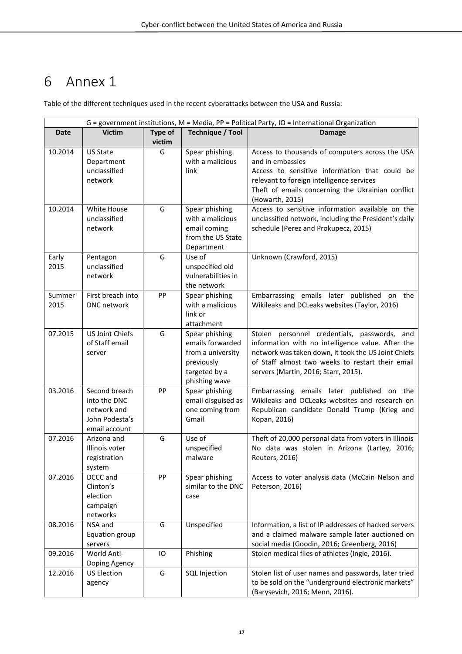## <span id="page-16-0"></span>6 Annex 1

Table of the different techniques used in the recent cyberattacks between the USA and Russia:

| G = government institutions, M = Media, PP = Political Party, IO = International Organization |                                                                                 |         |                                                                                                         |                                                                                                                                                                                                                                                      |
|-----------------------------------------------------------------------------------------------|---------------------------------------------------------------------------------|---------|---------------------------------------------------------------------------------------------------------|------------------------------------------------------------------------------------------------------------------------------------------------------------------------------------------------------------------------------------------------------|
| <b>Date</b>                                                                                   | <b>Victim</b>                                                                   | Type of | <b>Technique / Tool</b>                                                                                 | <b>Damage</b>                                                                                                                                                                                                                                        |
|                                                                                               |                                                                                 | victim  |                                                                                                         |                                                                                                                                                                                                                                                      |
| 10.2014                                                                                       | <b>US State</b><br>Department<br>unclassified<br>network                        | G       | Spear phishing<br>with a malicious<br>link                                                              | Access to thousands of computers across the USA<br>and in embassies<br>Access to sensitive information that could be<br>relevant to foreign intelligence services<br>Theft of emails concerning the Ukrainian conflict<br>(Howarth, 2015)            |
| 10.2014                                                                                       | White House<br>unclassified<br>network                                          | G       | Spear phishing<br>with a malicious<br>email coming<br>from the US State<br>Department                   | Access to sensitive information available on the<br>unclassified network, including the President's daily<br>schedule (Perez and Prokupecz, 2015)                                                                                                    |
| Early<br>2015                                                                                 | Pentagon<br>unclassified<br>network                                             | G       | Use of<br>unspecified old<br>vulnerabilities in<br>the network                                          | Unknown (Crawford, 2015)                                                                                                                                                                                                                             |
| Summer<br>2015                                                                                | First breach into<br><b>DNC</b> network                                         | PP      | Spear phishing<br>with a malicious<br>link or<br>attachment                                             | Embarrassing emails later published on the<br>Wikileaks and DCLeaks websites (Taylor, 2016)                                                                                                                                                          |
| 07.2015                                                                                       | <b>US Joint Chiefs</b><br>of Staff email<br>server                              | G       | Spear phishing<br>emails forwarded<br>from a university<br>previously<br>targeted by a<br>phishing wave | Stolen personnel credentials, passwords, and<br>information with no intelligence value. After the<br>network was taken down, it took the US Joint Chiefs<br>of Staff almost two weeks to restart their email<br>servers (Martin, 2016; Starr, 2015). |
| 03.2016                                                                                       | Second breach<br>into the DNC<br>network and<br>John Podesta's<br>email account | PP      | Spear phishing<br>email disguised as<br>one coming from<br>Gmail                                        | Embarrassing emails later published on the<br>Wikileaks and DCLeaks websites and research on<br>Republican candidate Donald Trump (Krieg and<br>Kopan, 2016)                                                                                         |
| 07.2016                                                                                       | Arizona and<br>Illinois voter<br>registration<br>system                         | G       | Use of<br>unspecified<br>malware                                                                        | Theft of 20,000 personal data from voters in Illinois<br>No data was stolen in Arizona (Lartey, 2016;<br>Reuters, 2016)                                                                                                                              |
| 07.2016                                                                                       | DCCC and<br>Clinton's<br>election<br>campaign<br>networks                       | PP      | Spear phishing<br>similar to the DNC<br>case                                                            | Access to voter analysis data (McCain Nelson and<br>Peterson, 2016)                                                                                                                                                                                  |
| 08.2016                                                                                       | NSA and<br>Equation group<br>servers                                            | G       | Unspecified                                                                                             | Information, a list of IP addresses of hacked servers<br>and a claimed malware sample later auctioned on<br>social media (Goodin, 2016; Greenberg, 2016)                                                                                             |
| 09.2016                                                                                       | World Anti-<br>Doping Agency                                                    | IO      | Phishing                                                                                                | Stolen medical files of athletes (Ingle, 2016).                                                                                                                                                                                                      |
| 12.2016                                                                                       | <b>US Election</b><br>agency                                                    | G       | SQL Injection                                                                                           | Stolen list of user names and passwords, later tried<br>to be sold on the "underground electronic markets"<br>(Barysevich, 2016; Menn, 2016).                                                                                                        |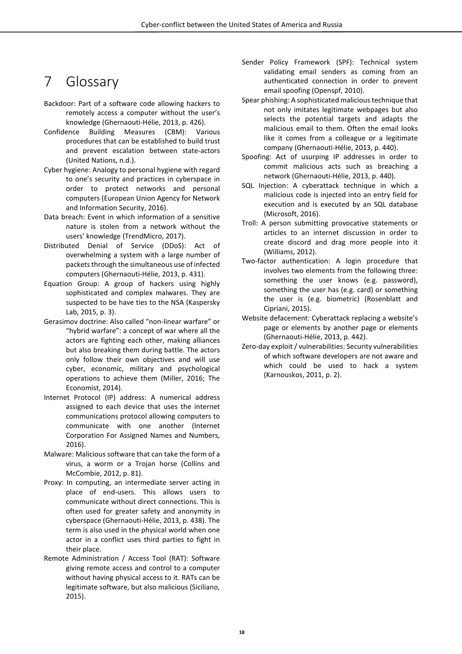## <span id="page-17-0"></span>7 Glossary

- Backdoor: Part of a software code allowing hackers to remotely access a computer without the user's knowledge (Ghernaouti-Hélie, 2013, p. 426).
- Confidence Building Measures (CBM): Various procedures that can be established to build trust and prevent escalation between state-actors (United Nations, n.d.).
- Cyber hygiene: Analogy to personal hygiene with regard to one's security and practices in cyberspace in order to protect networks and personal computers (European Union Agency for Network and Information Security, 2016).
- Data breach: Event in which information of a sensitive nature is stolen from a network without the users' knowledge (TrendMicro, 2017).
- Distributed Denial of Service (DDoS): Act of overwhelming a system with a large number of packets through the simultaneous use of infected computers (Ghernaouti-Hélie, 2013, p. 431).
- Equation Group: A group of hackers using highly sophisticated and complex malwares. They are suspected to be have ties to the NSA (Kaspersky Lab, 2015, p. 3).
- Gerasimov doctrine: Also called "non-linear warfare" or "hybrid warfare": a concept of war where all the actors are fighting each other, making alliances but also breaking them during battle. The actors only follow their own objectives and will use cyber, economic, military and psychological operations to achieve them (Miller, 2016; The Economist, 2014).
- Internet Protocol (IP) address: A numerical address assigned to each device that uses the internet communications protocol allowing computers to communicate with one another (Internet Corporation For Assigned Names and Numbers, 2016).
- Malware: Malicious software that can take the form of a virus, a worm or a Trojan horse (Collins and McCombie, 2012, p. 81).
- Proxy: In computing, an intermediate server acting in place of end-users. This allows users to communicate without direct connections. This is often used for greater safety and anonymity in cyberspace (Ghernaouti-Hélie, 2013, p. 438). The term is also used in the physical world when one actor in a conflict uses third parties to fight in their place.
- Remote Administration / Access Tool (RAT): Software giving remote access and control to a computer without having physical access to it. RATs can be legitimate software, but also malicious (Siciliano, 2015).
- Sender Policy Framework (SPF): Technical system validating email senders as coming from an authenticated connection in order to prevent email spoofing (Openspf, 2010).
- Spear phishing: A sophisticated malicious technique that not only imitates legitimate webpages but also selects the potential targets and adapts the malicious email to them. Often the email looks like it comes from a colleague or a legitimate company (Ghernaouti-Hélie, 2013, p. 440).
- Spoofing: Act of usurping IP addresses in order to commit malicious acts such as breaching a network (Ghernaouti-Hélie, 2013, p. 440).
- SQL Injection: A cyberattack technique in which a malicious code is injected into an entry field for execution and is executed by an SQL database (Microsoft, 2016).
- Troll: A person submitting provocative statements or articles to an internet discussion in order to create discord and drag more people into it (Williams, 2012).
- Two-factor authentication: A login procedure that involves two elements from the following three: something the user knows (e.g. password), something the user has (e.g. card) or something the user is (e.g. biometric) (Rosenblatt and Cipriani, 2015).
- Website defacement: Cyberattack replacing a website's page or elements by another page or elements (Ghernaouti-Hélie, 2013, p. 442).
- Zero-day exploit / vulnerabilities: Security vulnerabilities of which software developers are not aware and which could be used to hack a system (Karnouskos, 2011, p. 2).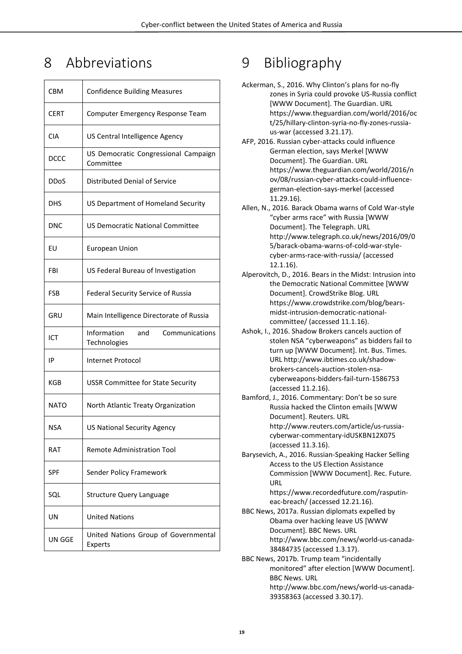## <span id="page-18-0"></span>8 Abbreviations

| <b>CBM</b>  | <b>Confidence Building Measures</b>                  |
|-------------|------------------------------------------------------|
| <b>CERT</b> | Computer Emergency Response Team                     |
| CIA         | US Central Intelligence Agency                       |
| <b>DCCC</b> | US Democratic Congressional Campaign<br>Committee    |
| DDoS        | Distributed Denial of Service                        |
| DHS         | US Department of Homeland Security                   |
| DNC         | US Democratic National Committee                     |
| EU          | European Union                                       |
| FBI         | US Federal Bureau of Investigation                   |
| FSB         | Federal Security Service of Russia                   |
| GRU         | Main Intelligence Directorate of Russia              |
| ICT         | Information<br>and<br>Communications<br>Technologies |
| IP          | Internet Protocol                                    |
| KGB         | <b>USSR Committee for State Security</b>             |
| <b>NATO</b> | North Atlantic Treaty Organization                   |
| <b>NSA</b>  | US National Security Agency                          |
| RAT         | Remote Administration Tool                           |
| <b>SPF</b>  | Sender Policy Framework                              |
| SQL         | <b>Structure Query Language</b>                      |
| UN          | <b>United Nations</b>                                |
| UN GGE      | United Nations Group of Governmental<br>Experts      |

# <span id="page-18-1"></span>9 Bibliography

| Ackerman, S., 2016. Why Clinton's plans for no-fly<br>zones in Syria could provoke US-Russia conflict |
|-------------------------------------------------------------------------------------------------------|
| [WWW Document]. The Guardian. URL                                                                     |
| https://www.theguardian.com/world/2016/oc                                                             |
| t/25/hillary-clinton-syria-no-fly-zones-russia-                                                       |
| us-war (accessed 3.21.17).                                                                            |
| AFP, 2016. Russian cyber-attacks could influence                                                      |
| German election, says Merkel [WWW                                                                     |
| Document]. The Guardian. URL                                                                          |
| https://www.theguardian.com/world/2016/n                                                              |
| ov/08/russian-cyber-attacks-could-influence-                                                          |
| german-election-says-merkel (accessed                                                                 |
| 11.29.16).                                                                                            |
| Allen, N., 2016. Barack Obama warns of Cold War-style<br>"cyber arms race" with Russia [WWW           |
| Document]. The Telegraph. URL                                                                         |
| http://www.telegraph.co.uk/news/2016/09/0                                                             |
| 5/barack-obama-warns-of-cold-war-style-                                                               |
| cyber-arms-race-with-russia/ (accessed                                                                |
| $12.1.16$ ).                                                                                          |
| Alperovitch, D., 2016. Bears in the Midst: Intrusion into                                             |
| the Democratic National Committee [WWW                                                                |
| Document]. CrowdStrike Blog. URL                                                                      |
| https://www.crowdstrike.com/blog/bears-                                                               |
| midst-intrusion-democratic-national-                                                                  |
| committee/ (accessed 11.1.16).                                                                        |
| Ashok, I., 2016. Shadow Brokers cancels auction of                                                    |
| stolen NSA "cyberweapons" as bidders fail to                                                          |
| turn up [WWW Document]. Int. Bus. Times.                                                              |
| URL http://www.ibtimes.co.uk/shadow-                                                                  |
| brokers-cancels-auction-stolen-nsa-<br>cyberweapons-bidders-fail-turn-1586753                         |
| (accessed 11.2.16).                                                                                   |
| Bamford, J., 2016. Commentary: Don't be so sure                                                       |
| Russia hacked the Clinton emails [WWW                                                                 |
| Document]. Reuters. URL                                                                               |
| http://www.reuters.com/article/us-russia-                                                             |
| cyberwar-commentary-idUSKBN12X075                                                                     |
| (accessed 11.3.16).                                                                                   |
| Barysevich, A., 2016. Russian-Speaking Hacker Selling                                                 |
| Access to the US Election Assistance                                                                  |
| Commission [WWW Document]. Rec. Future.<br>URL                                                        |
| https://www.recordedfuture.com/rasputin-                                                              |
| eac-breach/ (accessed 12.21.16).                                                                      |
| BBC News, 2017a. Russian diplomats expelled by                                                        |
| Obama over hacking leave US [WWW                                                                      |
| Document]. BBC News. URL                                                                              |
| http://www.bbc.com/news/world-us-canada-                                                              |
| 38484735 (accessed 1.3.17).                                                                           |
| BBC News, 2017b. Trump team "incidentally                                                             |
| monitored" after election [WWW Document].                                                             |
| <b>BBC News, URL</b>                                                                                  |
| http://www.bbc.com/news/world-us-canada-                                                              |

39358363 (accessed 3.30.17).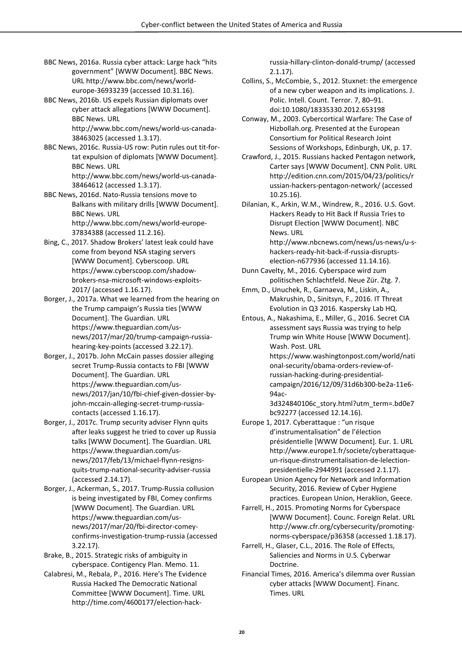- BBC News, 2016a. Russia cyber attack: Large hack "hits government" [WWW Document]. BBC News. URL http://www.bbc.com/news/worldeurope-36933239 (accessed 10.31.16).
- BBC News, 2016b. US expels Russian diplomats over cyber attack allegations [WWW Document]. BBC News. URL

http://www.bbc.com/news/world-us-canada-38463025 (accessed 1.3.17).

- BBC News, 2016c. Russia-US row: Putin rules out tit-fortat expulsion of diplomats [WWW Document]. BBC News. URL http://www.bbc.com/news/world-us-canada-38464612 (accessed 1.3.17).
- BBC News, 2016d. Nato-Russia tensions move to Balkans with military drills [WWW Document]. BBC News. URL http://www.bbc.com/news/world-europe-37834388 (accessed 11.2.16).
- Bing, C., 2017. Shadow Brokers' latest leak could have come from beyond NSA staging servers [WWW Document]. Cyberscoop. URL https://www.cyberscoop.com/shadowbrokers-nsa-microsoft-windows-exploits-2017/ (accessed 1.16.17).
- Borger, J., 2017a. What we learned from the hearing on the Trump campaign's Russia ties [WWW Document]. The Guardian. URL https://www.theguardian.com/usnews/2017/mar/20/trump-campaign-russiahearing-key-points (accessed 3.22.17).
- Borger, J., 2017b. John McCain passes dossier alleging secret Trump-Russia contacts to FBI [WWW Document]. The Guardian. URL https://www.theguardian.com/usnews/2017/jan/10/fbi-chief-given-dossier-byjohn-mccain-alleging-secret-trump-russiacontacts (accessed 1.16.17).

Borger, J., 2017c. Trump security adviser Flynn quits after leaks suggest he tried to cover up Russia talks [WWW Document]. The Guardian. URL https://www.theguardian.com/usnews/2017/feb/13/michael-flynn-resignsquits-trump-national-security-adviser-russia (accessed 2.14.17).

- Borger, J., Ackerman, S., 2017. Trump-Russia collusion is being investigated by FBI, Comey confirms [WWW Document]. The Guardian. URL https://www.theguardian.com/usnews/2017/mar/20/fbi-director-comeyconfirms-investigation-trump-russia (accessed 3.22.17).
- Brake, B., 2015. Strategic risks of ambiguity in cyberspace. Contigency Plan. Memo. 11.
- Calabresi, M., Rebala, P., 2016. Here's The Evidence Russia Hacked The Democratic National Committee [WWW Document]. Time. URL http://time.com/4600177/election-hack-

russia-hillary-clinton-donald-trump/ (accessed 2.1.17).

- Collins, S., McCombie, S., 2012. Stuxnet: the emergence of a new cyber weapon and its implications. J. Polic. Intell. Count. Terror. 7, 80–91. doi:10.1080/18335330.2012.653198
- Conway, M., 2003. Cybercortical Warfare: The Case of Hizbollah.org. Presented at the European Consortium for Political Research Joint Sessions of Workshops, Edinburgh, UK, p. 17.
- Crawford, J., 2015. Russians hacked Pentagon network, Carter says [WWW Document]. CNN Polit. URL http://edition.cnn.com/2015/04/23/politics/r ussian-hackers-pentagon-network/ (accessed 10.25.16).
- Dilanian, K., Arkin, W.M., Windrew, R., 2016. U.S. Govt. Hackers Ready to Hit Back If Russia Tries to Disrupt Election [WWW Document]. NBC News. URL

http://www.nbcnews.com/news/us-news/u-shackers-ready-hit-back-if-russia-disruptselection-n677936 (accessed 11.14.16).

- Dunn Cavelty, M., 2016. Cyberspace wird zum politischen Schlachtfeld. Neue Zür. Ztg. 7.
- Emm, D., Unuchek, R., Garnaeva, M., Liskin, A., Makrushin, D., Sinitsyn, F., 2016. IT Threat Evolution in Q3 2016. Kaspersky Lab HQ.
- Entous, A., Nakashima, E., Miller, G., 2016. Secret CIA assessment says Russia was trying to help Trump win White House [WWW Document]. Wash. Post. URL https://www.washingtonpost.com/world/nati onal-security/obama-orders-review-ofrussian-hacking-during-presidentialcampaign/2016/12/09/31d6b300-be2a-11e6-
	- 94ac-
	- 3d324840106c\_story.html?utm\_term=.bd0e7 bc92277 (accessed 12.14.16).
- Europe 1, 2017. Cyberattaque : "un risque d'instrumentalisation" de l'élection présidentielle [WWW Document]. Eur. 1. URL http://www.europe1.fr/societe/cyberattaqueun-risque-dinstrumentalisation-de-lelectionpresidentielle-2944991 (accessed 2.1.17).
- European Union Agency for Network and Information Security, 2016. Review of Cyber Hygiene practices. European Union, Heraklion, Geece.
- Farrell, H., 2015. Promoting Norms for Cyberspace [WWW Document]. Counc. Foreign Relat. URL http://www.cfr.org/cybersecurity/promotingnorms-cyberspace/p36358 (accessed 1.18.17).
- Farrell, H., Glaser, C.L., 2016. The Role of Effects, Saliencies and Norms in U.S. Cyberwar Doctrine.
- Financial Times, 2016. America's dilemma over Russian cyber attacks [WWW Document]. Financ. Times. URL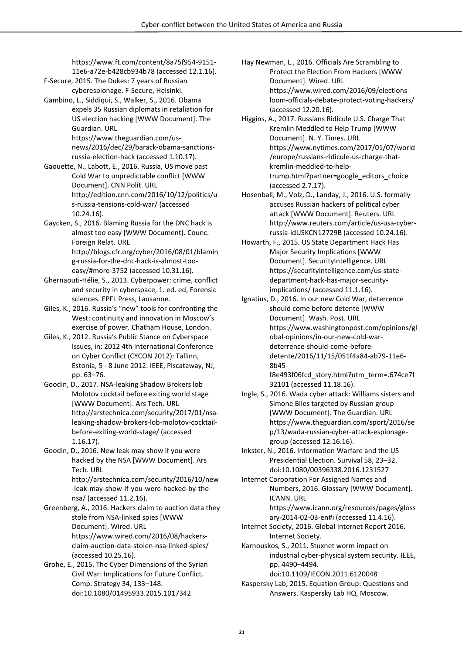https://www.ft.com/content/8a75f954-9151- 11e6-a72e-b428cb934b78 (accessed 12.1.16).

F-Secure, 2015. The Dukes: 7 years of Russian cyberespionage. F-Secure, Helsinki.

Gambino, L., Siddiqui, S., Walker, S., 2016. Obama expels 35 Russian diplomats in retaliation for US election hacking [WWW Document]. The Guardian. URL

> https://www.theguardian.com/usnews/2016/dec/29/barack-obama-sanctionsrussia-election-hack (accessed 1.10.17).

- Gaouette, N., Labott, E., 2016. Russia, US move past Cold War to unpredictable conflict [WWW Document]. CNN Polit. URL http://edition.cnn.com/2016/10/12/politics/u s-russia-tensions-cold-war/ (accessed 10.24.16).
- Gaycken, S., 2016. Blaming Russia for the DNC hack is almost too easy [WWW Document]. Counc. Foreign Relat. URL http://blogs.cfr.org/cyber/2016/08/01/blamin

g-russia-for-the-dnc-hack-is-almost-tooeasy/#more-3752 (accessed 10.31.16).

Ghernaouti-Hélie, S., 2013. Cyberpower: crime, conflict and security in cyberspace, 1. ed. ed, Forensic sciences. EPFL Press, Lausanne.

Giles, K., 2016. Russia's "new" tools for confronting the West: continuity and innovation in Moscow's exercise of power. Chatham House, London.

- Giles, K., 2012. Russia's Public Stance on Cyberspace Issues, in: 2012 4th International Conference on Cyber Conflict (CYCON 2012): Tallinn, Estonia, 5 - 8 June 2012. IEEE, Piscataway, NJ, pp. 63–76.
- Goodin, D., 2017. NSA-leaking Shadow Brokers lob Molotov cocktail before exiting world stage [WWW Document]. Ars Tech. URL http://arstechnica.com/security/2017/01/nsaleaking-shadow-brokers-lob-molotov-cocktailbefore-exiting-world-stage/ (accessed 1.16.17).

Goodin, D., 2016. New leak may show if you were hacked by the NSA [WWW Document]. Ars Tech. URL http://arstechnica.com/security/2016/10/new -leak-may-show-if-you-were-hacked-by-thensa/ (accessed 11.2.16).

Greenberg, A., 2016. Hackers claim to auction data they stole from NSA-linked spies [WWW Document]. Wired. URL https://www.wired.com/2016/08/hackersclaim-auction-data-stolen-nsa-linked-spies/ (accessed 10.25.16).

Grohe, E., 2015. The Cyber Dimensions of the Syrian Civil War: Implications for Future Conflict. Comp. Strategy 34, 133–148. doi:10.1080/01495933.2015.1017342

Hay Newman, L., 2016. Officials Are Scrambling to Protect the Election From Hackers [WWW Document]. Wired. URL https://www.wired.com/2016/09/electionsloom-officials-debate-protect-voting-hackers/ (accessed 12.20.16).

Higgins, A., 2017. Russians Ridicule U.S. Charge That Kremlin Meddled to Help Trump [WWW Document]. N. Y. Times. URL https://www.nytimes.com/2017/01/07/world /europe/russians-ridicule-us-charge-thatkremlin-meddled-to-helptrump.html?partner=google\_editors\_choice (accessed 2.7.17).

- Hosenball, M., Volz, D., Landay, J., 2016. U.S. formally accuses Russian hackers of political cyber attack [WWW Document]. Reuters. URL http://www.reuters.com/article/us-usa-cyberrussia-idUSKCN12729B (accessed 10.24.16).
- Howarth, F., 2015. US State Department Hack Has Major Security Implications [WWW Document]. SecurityIntelligence. URL https://securityintelligence.com/us-statedepartment-hack-has-major-securityimplications/ (accessed 11.1.16).
- Ignatius, D., 2016. In our new Cold War, deterrence should come before detente [WWW Document]. Wash. Post. URL https://www.washingtonpost.com/opinions/gl obal-opinions/in-our-new-cold-wardeterrence-should-come-beforedetente/2016/11/15/051f4a84-ab79-11e6- 8b45-

f8e493f06fcd\_story.html?utm\_term=.674ce7f 32101 (accessed 11.18.16).

Ingle, S., 2016. Wada cyber attack: Williams sisters and Simone Biles targeted by Russian group [WWW Document]. The Guardian. URL https://www.theguardian.com/sport/2016/se p/13/wada-russian-cyber-attack-espionagegroup (accessed 12.16.16).

Inkster, N., 2016. Information Warfare and the US Presidential Election. Survival 58, 23–32. doi:10.1080/00396338.2016.1231527

Internet Corporation For Assigned Names and Numbers, 2016. Glossary [WWW Document]. ICANN. URL https://www.icann.org/resources/pages/gloss

ary-2014-02-03-en#i (accessed 11.4.16).

Internet Society, 2016. Global Internet Report 2016. Internet Society.

Karnouskos, S., 2011. Stuxnet worm impact on industrial cyber-physical system security. IEEE, pp. 4490–4494.

doi:10.1109/IECON.2011.6120048

Kaspersky Lab, 2015. Equation Group: Questions and Answers. Kaspersky Lab HQ, Moscow.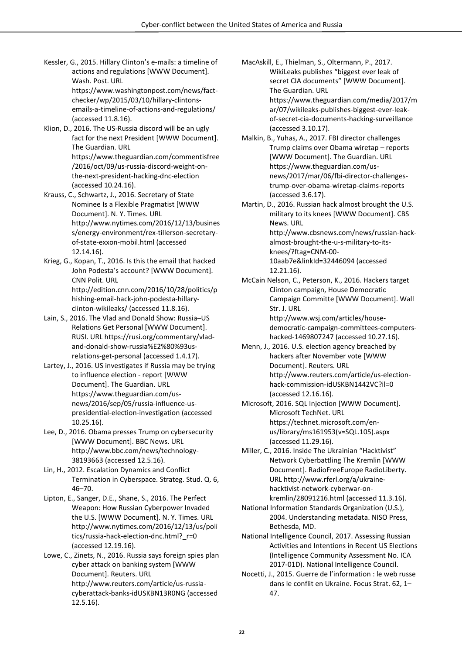Kessler, G., 2015. Hillary Clinton's e-mails: a timeline of actions and regulations [WWW Document]. Wash. Post. URL https://www.washingtonpost.com/news/fact-

checker/wp/2015/03/10/hillary-clintonsemails-a-timeline-of-actions-and-regulations/ (accessed 11.8.16).

Klion, D., 2016. The US-Russia discord will be an ugly fact for the next President [WWW Document]. The Guardian. URL https://www.theguardian.com/commentisfree /2016/oct/09/us-russia-discord-weight-onthe-next-president-hacking-dnc-election (accessed 10.24.16).

Krauss, C., Schwartz, J., 2016. Secretary of State Nominee Is a Flexible Pragmatist [WWW Document]. N. Y. Times. URL http://www.nytimes.com/2016/12/13/busines s/energy-environment/rex-tillerson-secretaryof-state-exxon-mobil.html (accessed 12.14.16).

Krieg, G., Kopan, T., 2016. Is this the email that hacked John Podesta's account? [WWW Document]. CNN Polit. URL http://edition.cnn.com/2016/10/28/politics/p hishing-email-hack-john-podesta-hillaryclinton-wikileaks/ (accessed 11.8.16).

- Lain, S., 2016. The Vlad and Donald Show: Russia–US Relations Get Personal [WWW Document]. RUSI. URL https://rusi.org/commentary/vladand-donald-show-russia%E2%80%93usrelations-get-personal (accessed 1.4.17).
- Lartey, J., 2016. US investigates if Russia may be trying to influence election - report [WWW Document]. The Guardian. URL https://www.theguardian.com/usnews/2016/sep/05/russia-influence-uspresidential-election-investigation (accessed 10.25.16).

Lee, D., 2016. Obama presses Trump on cybersecurity [WWW Document]. BBC News. URL http://www.bbc.com/news/technology-38193663 (accessed 12.5.16).

Lin, H., 2012. Escalation Dynamics and Conflict Termination in Cyberspace. Strateg. Stud. Q. 6, 46–70.

Lipton, E., Sanger, D.E., Shane, S., 2016. The Perfect Weapon: How Russian Cyberpower Invaded the U.S. [WWW Document]. N. Y. Times. URL http://www.nytimes.com/2016/12/13/us/poli tics/russia-hack-election-dnc.html?\_r=0 (accessed 12.19.16).

Lowe, C., Zinets, N., 2016. Russia says foreign spies plan cyber attack on banking system [WWW Document]. Reuters. URL http://www.reuters.com/article/us-russiacyberattack-banks-idUSKBN13R0NG (accessed 12.5.16).

MacAskill, E., Thielman, S., Oltermann, P., 2017. WikiLeaks publishes "biggest ever leak of secret CIA documents" [WWW Document]. The Guardian. URL https://www.theguardian.com/media/2017/m ar/07/wikileaks-publishes-biggest-ever-leakof-secret-cia-documents-hacking-surveillance (accessed 3.10.17).

Malkin, B., Yuhas, A., 2017. FBI director challenges Trump claims over Obama wiretap – reports [WWW Document]. The Guardian. URL https://www.theguardian.com/usnews/2017/mar/06/fbi-director-challengestrump-over-obama-wiretap-claims-reports (accessed 3.6.17).

Martin, D., 2016. Russian hack almost brought the U.S. military to its knees [WWW Document]. CBS News. URL http://www.cbsnews.com/news/russian-hackalmost-brought-the-u-s-military-to-itsknees/?ftag=CNM-00- 10aab7e&linkId=32446094 (accessed 12.21.16).

McCain Nelson, C., Peterson, K., 2016. Hackers target Clinton campaign, House Democratic Campaign Committe [WWW Document]. Wall Str. J. URL http://www.wsj.com/articles/house-

democratic-campaign-committees-computershacked-1469807247 (accessed 10.27.16).

- Menn, J., 2016. U.S. election agency breached by hackers after November vote [WWW Document]. Reuters. URL http://www.reuters.com/article/us-electionhack-commission-idUSKBN1442VC?il=0 (accessed 12.16.16).
- Microsoft, 2016. SQL Injection [WWW Document]. Microsoft TechNet. URL https://technet.microsoft.com/enus/library/ms161953(v=SQL.105).aspx (accessed 11.29.16).
- Miller, C., 2016. Inside The Ukrainian "Hacktivist" Network Cyberbattling The Kremlin [WWW Document]. RadioFreeEurope RadioLiberty. URL http://www.rferl.org/a/ukrainehacktivist-network-cyberwar-onkremlin/28091216.html (accessed 11.3.16).
- National Information Standards Organization (U.S.), 2004. Understanding metadata. NISO Press, Bethesda, MD.
- National Intelligence Council, 2017. Assessing Russian Activities and Intentions in Recent US Elections (Intelligence Community Assessment No. ICA 2017-01D). National Intelligence Council.
- Nocetti, J., 2015. Guerre de l'information : le web russe dans le conflit en Ukraine. Focus Strat. 62, 1– 47.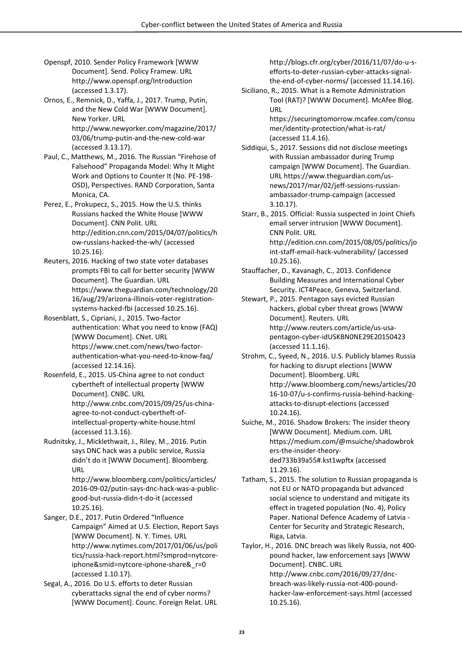- Openspf, 2010. Sender Policy Framework [WWW Document]. Send. Policy Framew. URL http://www.openspf.org/Introduction (accessed 1.3.17).
- Ornos, E., Remnick, D., Yaffa, J., 2017. Trump, Putin, and the New Cold War [WWW Document]. New Yorker. URL http://www.newyorker.com/magazine/2017/ 03/06/trump-putin-and-the-new-cold-war (accessed 3.13.17).
- Paul, C., Matthews, M., 2016. The Russian "Firehose of Falsehood" Propaganda Model: Why It Might Work and Options to Counter It (No. PE-198- OSD), Perspectives. RAND Corporation, Santa Monica, CA.
- Perez, E., Prokupecz, S., 2015. How the U.S. thinks Russians hacked the White House [WWW Document]. CNN Polit. URL http://edition.cnn.com/2015/04/07/politics/h ow-russians-hacked-the-wh/ (accessed 10.25.16).
- Reuters, 2016. Hacking of two state voter databases prompts FBI to call for better security [WWW Document]. The Guardian. URL https://www.theguardian.com/technology/20 16/aug/29/arizona-illinois-voter-registrationsystems-hacked-fbi (accessed 10.25.16).
- Rosenblatt, S., Cipriani, J., 2015. Two-factor authentication: What you need to know (FAQ) [WWW Document]. CNet. URL https://www.cnet.com/news/two-factorauthentication-what-you-need-to-know-faq/ (accessed 12.14.16).
- Rosenfeld, E., 2015. US-China agree to not conduct cybertheft of intellectual property [WWW Document]. CNBC. URL http://www.cnbc.com/2015/09/25/us-chinaagree-to-not-conduct-cybertheft-ofintellectual-property-white-house.html (accessed 11.3.16).
- Rudnitsky, J., Micklethwait, J., Riley, M., 2016. Putin says DNC hack was a public service, Russia didn't do it [WWW Document]. Bloomberg. URL http://www.bloomberg.com/politics/articles/ 2016-09-02/putin-says-dnc-hack-was-a-public-

good-but-russia-didn-t-do-it (accessed 10.25.16).

- Sanger, D.E., 2017. Putin Ordered "Influence Campaign" Aimed at U.S. Election, Report Says [WWW Document]. N. Y. Times. URL http://www.nytimes.com/2017/01/06/us/poli tics/russia-hack-report.html?smprod=nytcoreiphone&smid=nytcore-iphone-share& r=0 (accessed 1.10.17).
- Segal, A., 2016. Do U.S. efforts to deter Russian cyberattacks signal the end of cyber norms? [WWW Document]. Counc. Foreign Relat. URL

http://blogs.cfr.org/cyber/2016/11/07/do-u-sefforts-to-deter-russian-cyber-attacks-signalthe-end-of-cyber-norms/ (accessed 11.14.16).

Siciliano, R., 2015. What is a Remote Administration Tool (RAT)? [WWW Document]. McAfee Blog. URL

> https://securingtomorrow.mcafee.com/consu mer/identity-protection/what-is-rat/ (accessed 11.4.16).

- Siddiqui, S., 2017. Sessions did not disclose meetings with Russian ambassador during Trump campaign [WWW Document]. The Guardian. URL https://www.theguardian.com/usnews/2017/mar/02/jeff-sessions-russianambassador-trump-campaign (accessed 3.10.17).
- Starr, B., 2015. Official: Russia suspected in Joint Chiefs email server intrusion [WWW Document]. CNN Polit. URL http://edition.cnn.com/2015/08/05/politics/jo int-staff-email-hack-vulnerability/ (accessed 10.25.16).
- Stauffacher, D., Kavanagh, C., 2013. Confidence Building Measures and International Cyber Security. ICT4Peace, Geneva, Switzerland.
- Stewart, P., 2015. Pentagon says evicted Russian hackers, global cyber threat grows [WWW Document]. Reuters. URL http://www.reuters.com/article/us-usapentagon-cyber-idUSKBN0NE29E20150423 (accessed 11.1.16).
- Strohm, C., Syeed, N., 2016. U.S. Publicly blames Russia for hacking to disrupt elections [WWW Document]. Bloomberg. URL http://www.bloomberg.com/news/articles/20 16-10-07/u-s-confirms-russia-behind-hackingattacks-to-disrupt-elections (accessed 10.24.16).
- Suiche, M., 2016. Shadow Brokers: The insider theory [WWW Document]. Medium.com. URL https://medium.com/@msuiche/shadowbrok ers-the-insider-theoryded733b39a55#.kst1wpftx (accessed 11.29.16).
- Tatham, S., 2015. The solution to Russian propaganda is not EU or NATO propaganda but advanced social science to understand and mitigate its effect in trageted population (No. 4), Policy Paper. National Defence Academy of Latvia - Center for Security and Strategic Research, Riga, Latvia.

Taylor, H., 2016. DNC breach was likely Russia, not 400 pound hacker, law enforcement says [WWW Document]. CNBC. URL http://www.cnbc.com/2016/09/27/dncbreach-was-likely-russia-not-400-poundhacker-law-enforcement-says.html (accessed 10.25.16).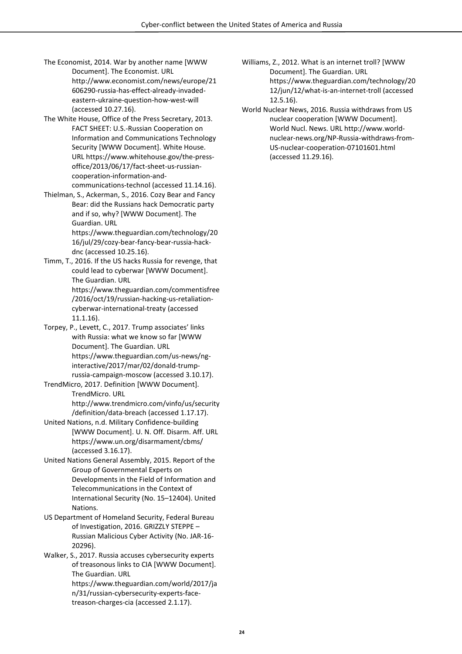- The Economist, 2014. War by another name [WWW Document]. The Economist. URL http://www.economist.com/news/europe/21 606290-russia-has-effect-already-invadedeastern-ukraine-question-how-west-will (accessed 10.27.16).
- The White House, Office of the Press Secretary, 2013. FACT SHEET: U.S.-Russian Cooperation on Information and Communications Technology Security [WWW Document]. White House. URL https://www.whitehouse.gov/the-pressoffice/2013/06/17/fact-sheet-us-russiancooperation-information-andcommunications-technol (accessed 11.14.16).
- Thielman, S., Ackerman, S., 2016. Cozy Bear and Fancy Bear: did the Russians hack Democratic party and if so, why? [WWW Document]. The Guardian. URL https://www.theguardian.com/technology/20 16/jul/29/cozy-bear-fancy-bear-russia-hack-
- dnc (accessed 10.25.16). Timm, T., 2016. If the US hacks Russia for revenge, that could lead to cyberwar [WWW Document]. The Guardian. URL https://www.theguardian.com/commentisfree /2016/oct/19/russian-hacking-us-retaliationcyberwar-international-treaty (accessed 11.1.16).
- Torpey, P., Levett, C., 2017. Trump associates' links with Russia: what we know so far [WWW Document]. The Guardian. URL https://www.theguardian.com/us-news/nginteractive/2017/mar/02/donald-trumprussia-campaign-moscow (accessed 3.10.17).
- TrendMicro, 2017. Definition [WWW Document]. TrendMicro. URL http://www.trendmicro.com/vinfo/us/security
- /definition/data-breach (accessed 1.17.17). United Nations, n.d. Military Confidence-building [WWW Document]. U. N. Off. Disarm. Aff. URL https://www.un.org/disarmament/cbms/ (accessed 3.16.17).
- United Nations General Assembly, 2015. Report of the Group of Governmental Experts on Developments in the Field of Information and Telecommunications in the Context of International Security (No. 15–12404). United Nations.
- US Department of Homeland Security, Federal Bureau of Investigation, 2016. GRIZZLY STEPPE – Russian Malicious Cyber Activity (No. JAR-16- 20296).

Walker, S., 2017. Russia accuses cybersecurity experts of treasonous links to CIA [WWW Document]. The Guardian. URL https://www.theguardian.com/world/2017/ja n/31/russian-cybersecurity-experts-facetreason-charges-cia (accessed 2.1.17).

- Williams, Z., 2012. What is an internet troll? [WWW Document]. The Guardian. URL https://www.theguardian.com/technology/20 12/jun/12/what-is-an-internet-troll (accessed 12.5.16).
- World Nuclear News, 2016. Russia withdraws from US nuclear cooperation [WWW Document]. World Nucl. News. URL http://www.worldnuclear-news.org/NP-Russia-withdraws-from-US-nuclear-cooperation-07101601.html (accessed 11.29.16).